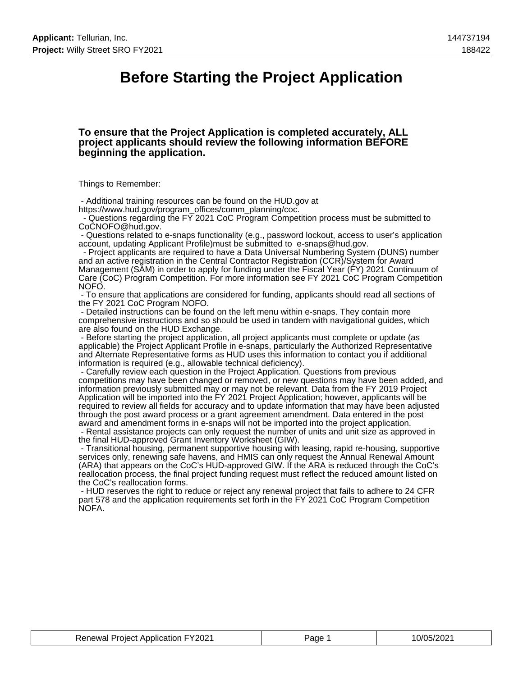### **Before Starting the Project Application**

#### **To ensure that the Project Application is completed accurately, ALL project applicants should review the following information BEFORE beginning the application.**

Things to Remember:

 - Additional training resources can be found on the HUD.gov at https://www.hud.gov/program\_offices/comm\_planning/coc.

 - Questions regarding the FY 2021 CoC Program Competition process must be submitted to CoCNOFO@hud.gov.

 - Questions related to e-snaps functionality (e.g., password lockout, access to user's application account, updating Applicant Profile)must be submitted to e-snaps@hud.gov.

 - Project applicants are required to have a Data Universal Numbering System (DUNS) number and an active registration in the Central Contractor Registration (CCR)/System for Award Management (SAM) in order to apply for funding under the Fiscal Year (FY) 2021 Continuum of Care (CoC) Program Competition. For more information see FY 2021 CoC Program Competition NOFO.

 - To ensure that applications are considered for funding, applicants should read all sections of the FY 2021 CoC Program NOFO.

 - Detailed instructions can be found on the left menu within e-snaps. They contain more comprehensive instructions and so should be used in tandem with navigational guides, which are also found on the HUD Exchange.

 - Before starting the project application, all project applicants must complete or update (as applicable) the Project Applicant Profile in e-snaps, particularly the Authorized Representative and Alternate Representative forms as HUD uses this information to contact you if additional information is required (e.g., allowable technical deficiency).

 - Carefully review each question in the Project Application. Questions from previous competitions may have been changed or removed, or new questions may have been added, and information previously submitted may or may not be relevant. Data from the FY 2019 Project Application will be imported into the FY 2021 Project Application; however, applicants will be required to review all fields for accuracy and to update information that may have been adjusted through the post award process or a grant agreement amendment. Data entered in the post award and amendment forms in e-snaps will not be imported into the project application.

 - Rental assistance projects can only request the number of units and unit size as approved in the final HUD-approved Grant Inventory Worksheet (GIW).

 - Transitional housing, permanent supportive housing with leasing, rapid re-housing, supportive services only, renewing safe havens, and HMIS can only request the Annual Renewal Amount (ARA) that appears on the CoC's HUD-approved GIW. If the ARA is reduced through the CoC's reallocation process, the final project funding request must reflect the reduced amount listed on the CoC's reallocation forms.

 - HUD reserves the right to reduce or reject any renewal project that fails to adhere to 24 CFR part 578 and the application requirements set forth in the FY 2021 CoC Program Competition NOFA.

| <b>Renewal Project Application FY2021</b> | Page | 10/05/2021 |
|-------------------------------------------|------|------------|
|-------------------------------------------|------|------------|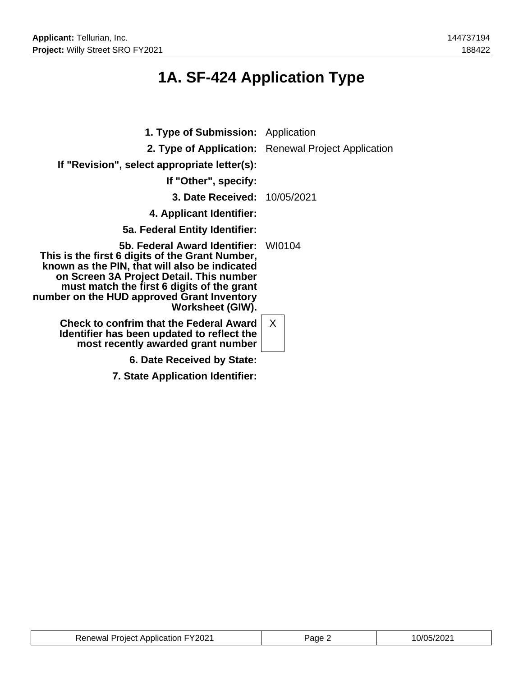# **1A. SF-424 Application Type**

| <b>1. Type of Submission:</b> Application                                                                                                                                                                                                                                                     |                                                     |
|-----------------------------------------------------------------------------------------------------------------------------------------------------------------------------------------------------------------------------------------------------------------------------------------------|-----------------------------------------------------|
|                                                                                                                                                                                                                                                                                               | 2. Type of Application: Renewal Project Application |
| If "Revision", select appropriate letter(s):                                                                                                                                                                                                                                                  |                                                     |
| If "Other", specify:                                                                                                                                                                                                                                                                          |                                                     |
| 3. Date Received: 10/05/2021                                                                                                                                                                                                                                                                  |                                                     |
| 4. Applicant Identifier:                                                                                                                                                                                                                                                                      |                                                     |
| 5a. Federal Entity Identifier:                                                                                                                                                                                                                                                                |                                                     |
| 5b. Federal Award Identifier:<br>This is the first 6 digits of the Grant Number,<br>known as the PIN, that will also be indicated<br>on Screen 3A Project Detail. This number<br>must match the first 6 digits of the grant<br>number on the HUD approved Grant Inventory<br>Worksheet (GIW). | -WI0104                                             |
| <b>Check to confrim that the Federal Award</b><br>Identifier has been updated to reflect the<br>most recently awarded grant number                                                                                                                                                            | $\mathsf{X}$                                        |
| 6. Date Received by State:                                                                                                                                                                                                                                                                    |                                                     |
| 7. State Application Identifier:                                                                                                                                                                                                                                                              |                                                     |

| <b>Renewal Project Application FY2021</b> | Page 2 | 10/05/2021 |
|-------------------------------------------|--------|------------|
|-------------------------------------------|--------|------------|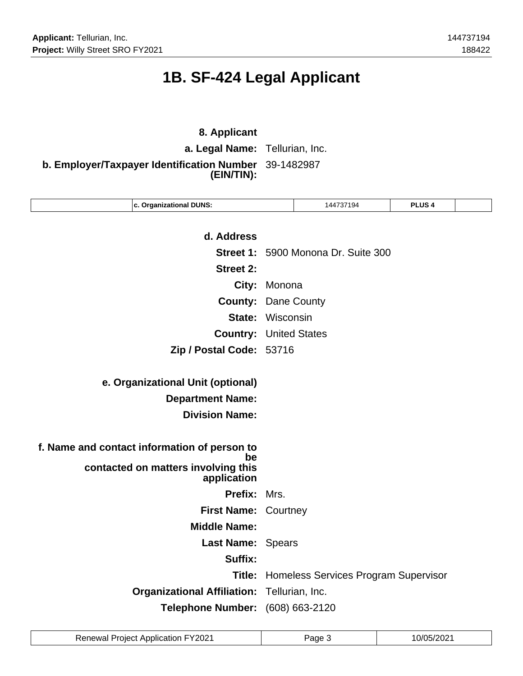# **1B. SF-424 Legal Applicant**

### **8. Applicant**

**a. Legal Name:** Tellurian, Inc.

**b. Employer/Taxpayer Identification Number** 39-1482987 **(EIN/TIN):**

| c. Organizational DUNS:                            |             | 144737194                            | <b>PLUS4</b> |  |
|----------------------------------------------------|-------------|--------------------------------------|--------------|--|
|                                                    |             |                                      |              |  |
| d. Address                                         |             |                                      |              |  |
|                                                    |             | Street 1: 5900 Monona Dr. Suite 300  |              |  |
| <b>Street 2:</b>                                   |             |                                      |              |  |
| City:                                              | Monona      |                                      |              |  |
| <b>County:</b>                                     | Dane County |                                      |              |  |
| State:                                             | Wisconsin   |                                      |              |  |
| <b>Country:</b>                                    |             | <b>United States</b>                 |              |  |
| Zip / Postal Code: 53716                           |             |                                      |              |  |
|                                                    |             |                                      |              |  |
| e. Organizational Unit (optional)                  |             |                                      |              |  |
| <b>Department Name:</b>                            |             |                                      |              |  |
| <b>Division Name:</b>                              |             |                                      |              |  |
|                                                    |             |                                      |              |  |
| f. Name and contact information of person to<br>be |             |                                      |              |  |
| contacted on matters involving this<br>application |             |                                      |              |  |
| Prefix:                                            | Mrs.        |                                      |              |  |
| First Name: Courtney                               |             |                                      |              |  |
| <b>Middle Name:</b>                                |             |                                      |              |  |
| Last Name: Spears                                  |             |                                      |              |  |
| Suffix:                                            |             |                                      |              |  |
| Title:                                             |             | Homeless Services Program Supervisor |              |  |
| <b>Organizational Affiliation:</b>                 |             | Tellurian, Inc.                      |              |  |
| <b>Telephone Number:</b>                           |             | (608) 663-2120                       |              |  |
|                                                    |             |                                      |              |  |

| <b>Renewal Project Application FY2021</b> | Page | 10/05/2021 |
|-------------------------------------------|------|------------|
|-------------------------------------------|------|------------|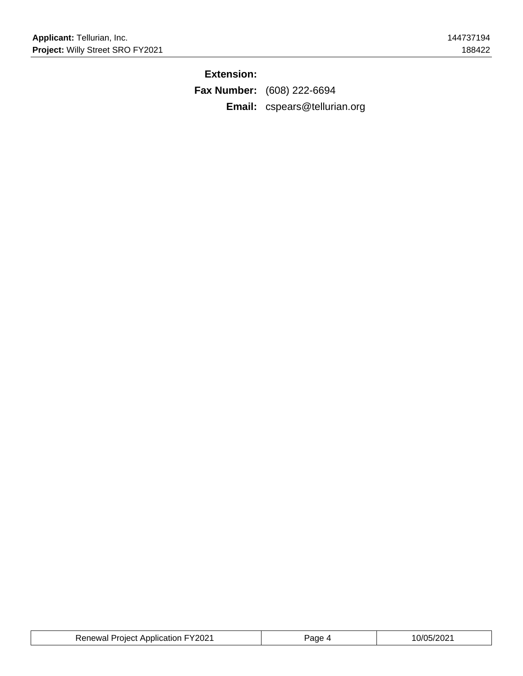### **Extension:**

**Fax Number:** (608) 222-6694 **Email:** cspears@tellurian.org

| <b>Renewal Project Application FY2021</b> | Page | 10/05/2021 |
|-------------------------------------------|------|------------|
|-------------------------------------------|------|------------|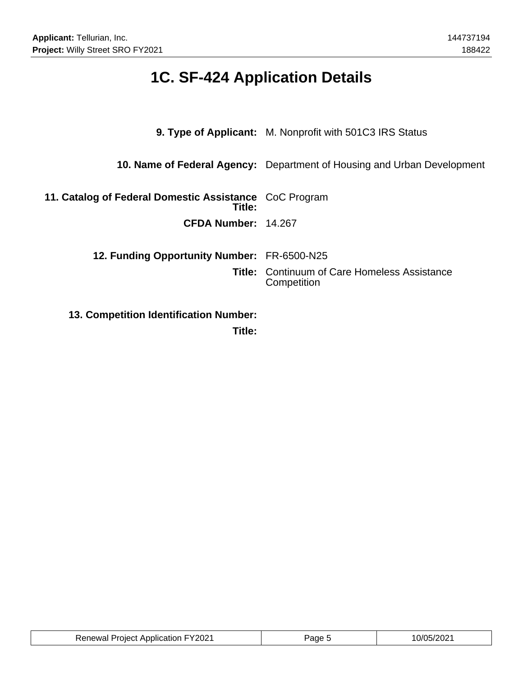# **1C. SF-424 Application Details**

| 9. Type of Applicant: M. Nonprofit with 501C3 IRS Status                       |
|--------------------------------------------------------------------------------|
| <b>10. Name of Federal Agency:</b> Department of Housing and Urban Development |
| 11. Catalog of Federal Domestic Assistance CoC Program                         |
| CFDA Number: 14.267                                                            |
| 12. Funding Opportunity Number: FR-6500-N25                                    |
| <b>Title:</b> Continuum of Care Homeless Assistance<br>Competition             |
|                                                                                |
|                                                                                |

**Title:**

| auon FY2021 ان<br>Renewal<br>-rojec*<br>. ADDIIC' |  | ശററ<br>ے رہے۔<br>____ |
|---------------------------------------------------|--|-----------------------|
|---------------------------------------------------|--|-----------------------|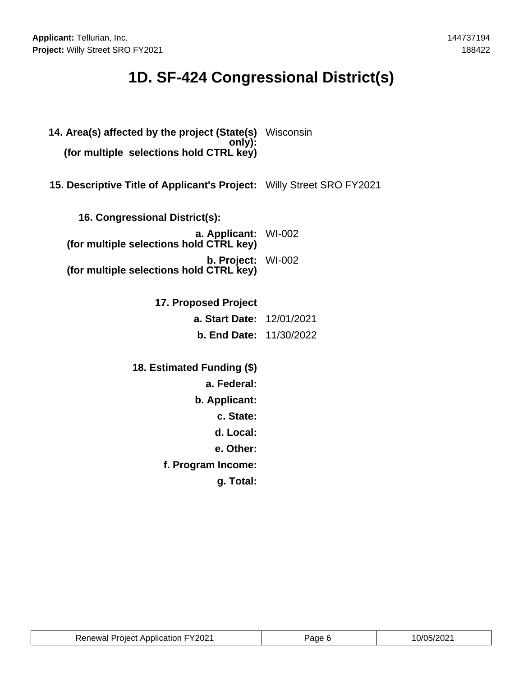# **1D. SF-424 Congressional District(s)**

| 14. Area(s) affected by the project (State(s)<br>only):<br>(for multiple selections hold CTRL key) | Wisconsin |
|----------------------------------------------------------------------------------------------------|-----------|
| 15. Descriptive Title of Applicant's Project: Willy Street SRO FY2021                              |           |
| 16. Congressional District(s):                                                                     |           |
| a. Applicant: WI-002<br>(for multiple selections hold CTRL key)                                    |           |
| b. Project: WI-002<br>(for multiple selections hold CTRL key)                                      |           |
| 17. Proposed Project                                                                               |           |
| <b>a. Start Date: 12/01/2021</b>                                                                   |           |
| <b>b. End Date: 11/30/2022</b>                                                                     |           |
| 18. Estimated Funding (\$)                                                                         |           |
| a. Federal:                                                                                        |           |
| b. Applicant:                                                                                      |           |
| c. State:                                                                                          |           |
| d. Local:                                                                                          |           |
| e. Other:                                                                                          |           |
| f. Program Income:                                                                                 |           |
| g. Total:                                                                                          |           |

| <b>Renewal Project Application FY2021</b> | Paɑe 6 | 10/05/2021 |
|-------------------------------------------|--------|------------|
|-------------------------------------------|--------|------------|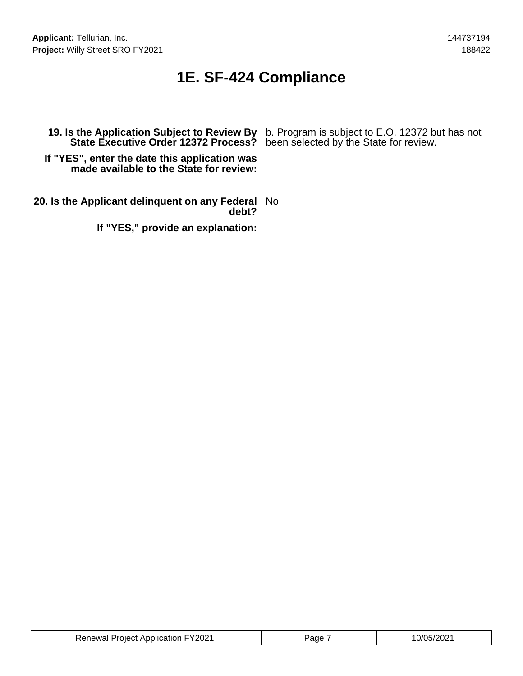### **1E. SF-424 Compliance**

**19. Is the Application Subject to Review By** b. Program is subject to E.O. 12372 but has not **State Executive Order 12372 Process?** been selected by the State for review.

**If "YES", enter the date this application was made available to the State for review:**

**20. Is the Applicant delinquent on any Federal** No **debt?**

**If "YES," provide an explanation:**

| <b>Renewal Project Application FY2021</b> | Page | 10/05/2021 |
|-------------------------------------------|------|------------|
|-------------------------------------------|------|------------|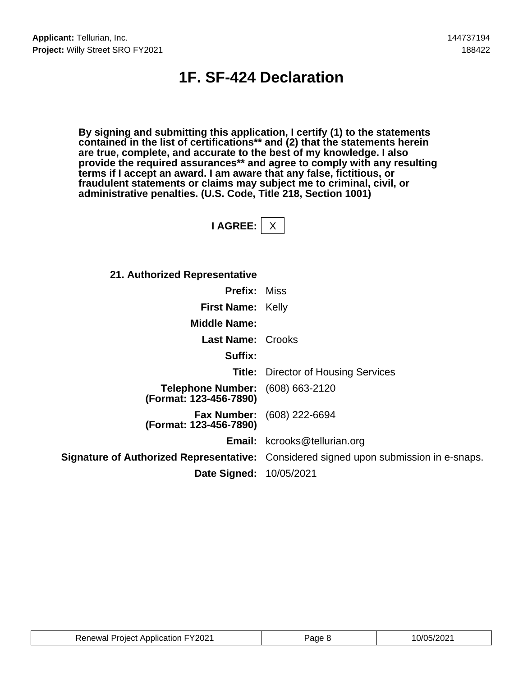### **1F. SF-424 Declaration**

**By signing and submitting this application, I certify (1) to the statements contained in the list of certifications\*\* and (2) that the statements herein are true, complete, and accurate to the best of my knowledge. I also provide the required assurances\*\* and agree to comply with any resulting terms if I accept an award. I am aware that any false, fictitious, or fraudulent statements or claims may subject me to criminal, civil, or administrative penalties. (U.S. Code, Title 218, Section 1001)**

**I AGREE:** X

| 21. Authorized Representative                                     |                                                                                       |
|-------------------------------------------------------------------|---------------------------------------------------------------------------------------|
| <b>Prefix: Miss</b>                                               |                                                                                       |
| <b>First Name: Kelly</b>                                          |                                                                                       |
| <b>Middle Name:</b>                                               |                                                                                       |
| <b>Last Name: Crooks</b>                                          |                                                                                       |
| Suffix:                                                           |                                                                                       |
|                                                                   | <b>Title:</b> Director of Housing Services                                            |
| <b>Telephone Number:</b> (608) 663-2120<br>(Format: 123-456-7890) |                                                                                       |
| (Format: 123-456-7890)                                            | <b>Fax Number:</b> (608) 222-6694                                                     |
|                                                                   | <b>Email:</b> kcrooks@tellurian.org                                                   |
|                                                                   | Signature of Authorized Representative: Considered signed upon submission in e-snaps. |
| <b>Date Signed: 10/05/2021</b>                                    |                                                                                       |

| <b>Renewal Project Application FY2021</b> | ane, | 0/05/2021 |
|-------------------------------------------|------|-----------|
|-------------------------------------------|------|-----------|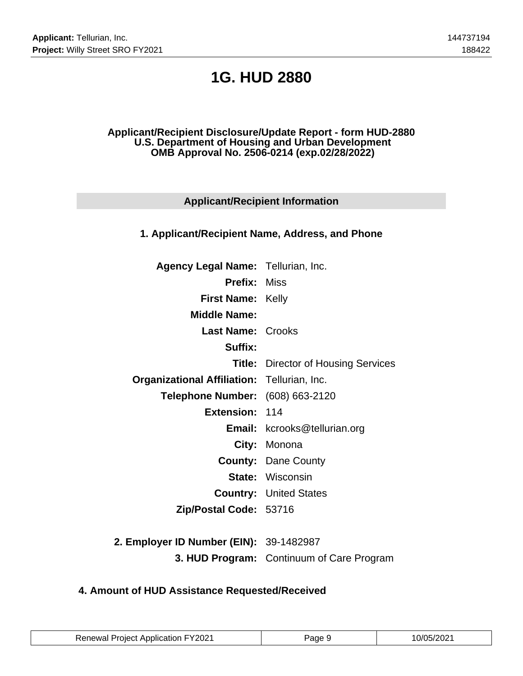# **1G. HUD 2880**

#### **Applicant/Recipient Disclosure/Update Report - form HUD-2880 U.S. Department of Housing and Urban Development OMB Approval No. 2506-0214 (exp.02/28/2022)**

### **Applicant/Recipient Information**

#### **1. Applicant/Recipient Name, Address, and Phone**

| <b>Agency Legal Name: Tellurian, Inc.</b>          |                                            |
|----------------------------------------------------|--------------------------------------------|
| <b>Prefix: Miss</b>                                |                                            |
| <b>First Name: Kelly</b>                           |                                            |
| <b>Middle Name:</b>                                |                                            |
| <b>Last Name: Crooks</b>                           |                                            |
| Suffix:                                            |                                            |
|                                                    | <b>Title:</b> Director of Housing Services |
| <b>Organizational Affiliation: Tellurian, Inc.</b> |                                            |
| Telephone Number: (608) 663-2120                   |                                            |
| Extension: 114                                     |                                            |
|                                                    | <b>Email:</b> kcrooks@tellurian.org        |
|                                                    | City: Monona                               |
|                                                    | <b>County: Dane County</b>                 |
|                                                    | <b>State: Wisconsin</b>                    |
|                                                    | <b>Country: United States</b>              |
| Zip/Postal Code: 53716                             |                                            |
|                                                    |                                            |

**2. Employer ID Number (EIN):** 39-1482987 **3. HUD Program:** Continuum of Care Program

### **4. Amount of HUD Assistance Requested/Received**

| <b>Renewal Project Application FY2021</b> | Page 9 | 10/05/2021 |
|-------------------------------------------|--------|------------|
|-------------------------------------------|--------|------------|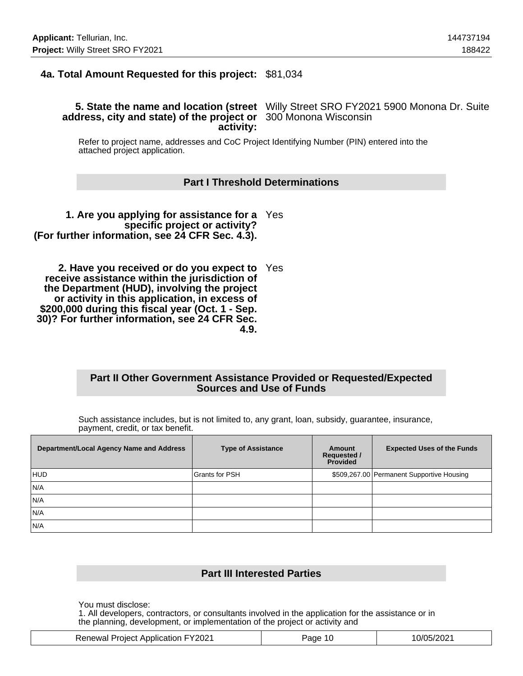### **4a. Total Amount Requested for this project:** \$81,034

#### **5. State the name and location (street** Willy Street SRO FY2021 5900 Monona Dr. Suite **address, city and state) of the project or** 300 Monona Wisconsin **activity:**

Refer to project name, addresses and CoC Project Identifying Number (PIN) entered into the attached project application.

#### **Part I Threshold Determinations**

**1. Are you applying for assistance for a** Yes **specific project or activity? (For further information, see 24 CFR Sec. 4.3).**

**2. Have you received or do you expect to** Yes **receive assistance within the jurisdiction of the Department (HUD), involving the project or activity in this application, in excess of \$200,000 during this fiscal year (Oct. 1 - Sep. 30)? For further information, see 24 CFR Sec. 4.9.**

#### **Part II Other Government Assistance Provided or Requested/Expected Sources and Use of Funds**

Such assistance includes, but is not limited to, any grant, loan, subsidy, guarantee, insurance, payment, credit, or tax benefit.

| Department/Local Agency Name and Address | <b>Type of Assistance</b> | Amount<br><b>Requested /</b><br><b>Provided</b> | <b>Expected Uses of the Funds</b>         |
|------------------------------------------|---------------------------|-------------------------------------------------|-------------------------------------------|
| HUD                                      | Grants for PSH            |                                                 | \$509,267.00 Permanent Supportive Housing |
| N/A                                      |                           |                                                 |                                           |
| N/A                                      |                           |                                                 |                                           |
| N/A                                      |                           |                                                 |                                           |
| N/A                                      |                           |                                                 |                                           |

#### **Part III Interested Parties**

You must disclose:

1. All developers, contractors, or consultants involved in the application for the assistance or in the planning, development, or implementation of the project or activity and

|  | <b>Renewal Project Application FY2021</b> | 10<br>aqe | 10/05/2021 |
|--|-------------------------------------------|-----------|------------|
|--|-------------------------------------------|-----------|------------|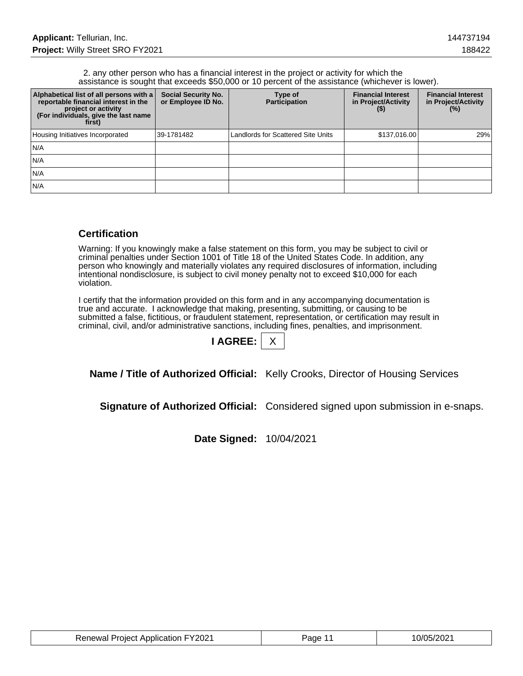#### 2. any other person who has a financial interest in the project or activity for which the assistance is sought that exceeds \$50,000 or 10 percent of the assistance (whichever is lower).

| Alphabetical list of all persons with a<br>reportable financial interest in the<br>project or activity<br>(For individuals, give the last name<br>first) | <b>Social Security No.</b><br>or Employee ID No. | Type of<br><b>Participation</b>    | <b>Financial Interest</b><br>in Project/Activity<br>(5) | <b>Financial Interest</b><br>in Project/Activity<br>(% ) |
|----------------------------------------------------------------------------------------------------------------------------------------------------------|--------------------------------------------------|------------------------------------|---------------------------------------------------------|----------------------------------------------------------|
| Housing Initiatives Incorporated                                                                                                                         | 39-1781482                                       | Landlords for Scattered Site Units | \$137,016.00                                            | 29%                                                      |
| IN/A                                                                                                                                                     |                                                  |                                    |                                                         |                                                          |
| IN/A                                                                                                                                                     |                                                  |                                    |                                                         |                                                          |
| IN/A                                                                                                                                                     |                                                  |                                    |                                                         |                                                          |
| IN/A                                                                                                                                                     |                                                  |                                    |                                                         |                                                          |

### **Certification**

Warning: If you knowingly make a false statement on this form, you may be subject to civil or criminal penalties under Section 1001 of Title 18 of the United States Code. In addition, any person who knowingly and materially violates any required disclosures of information, including intentional nondisclosure, is subject to civil money penalty not to exceed \$10,000 for each violation.

I certify that the information provided on this form and in any accompanying documentation is true and accurate. I acknowledge that making, presenting, submitting, or causing to be submitted a false, fictitious, or fraudulent statement, representation, or certification may result in criminal, civil, and/or administrative sanctions, including fines, penalties, and imprisonment.

| <b>AGREE:</b> |  |
|---------------|--|
|               |  |

**Name / Title of Authorized Official:** Kelly Crooks, Director of Housing Services

**Signature of Authorized Official:** Considered signed upon submission in e-snaps.

**Date Signed:** 10/04/2021

| <b>Renewal Project Application FY2021</b> | Page 11 | 10/05/2021 |
|-------------------------------------------|---------|------------|
|-------------------------------------------|---------|------------|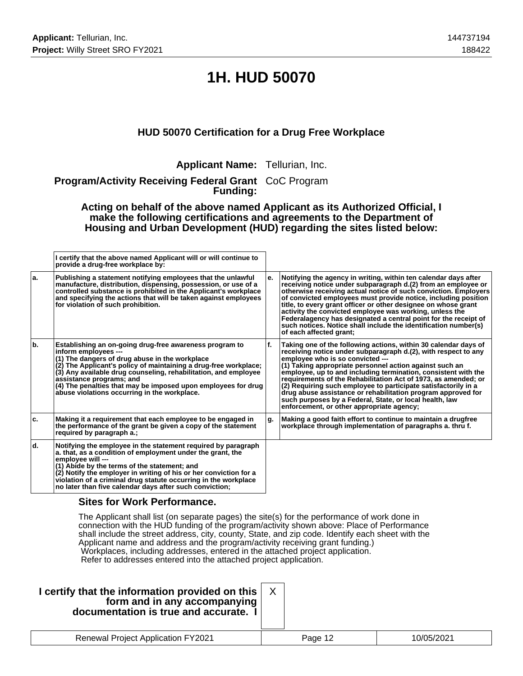# **1H. HUD 50070**

### **HUD 50070 Certification for a Drug Free Workplace**

**Applicant Name:** Tellurian, Inc.

**Program/Activity Receiving Federal Grant** CoC Program **Funding:**

**Acting on behalf of the above named Applicant as its Authorized Official, I make the following certifications and agreements to the Department of Housing and Urban Development (HUD) regarding the sites listed below:**

|     | I certify that the above named Applicant will or will continue to<br>provide a drug-free workplace by:                                                                                                                                                                                                                                                                                                                |    |                                                                                                                                                                                                                                                                                                                                                                                                                                                                                                                                                                                                                |
|-----|-----------------------------------------------------------------------------------------------------------------------------------------------------------------------------------------------------------------------------------------------------------------------------------------------------------------------------------------------------------------------------------------------------------------------|----|----------------------------------------------------------------------------------------------------------------------------------------------------------------------------------------------------------------------------------------------------------------------------------------------------------------------------------------------------------------------------------------------------------------------------------------------------------------------------------------------------------------------------------------------------------------------------------------------------------------|
| ۱a. | Publishing a statement notifying employees that the unlawful<br>manufacture, distribution, dispensing, possession, or use of a<br>controlled substance is prohibited in the Applicant's workplace<br>and specifying the actions that will be taken against employees<br>for violation of such prohibition.                                                                                                            | е. | Notifying the agency in writing, within ten calendar days after<br>receiving notice under subparagraph d.(2) from an employee or<br>otherwise receiving actual notice of such conviction. Employers<br>of convicted employees must provide notice, including position<br>title, to every grant officer or other designee on whose grant<br>activity the convicted employee was working, unless the<br>Federalagency has designated a central point for the receipt of<br>such notices. Notice shall include the identification number(s)<br>of each affected grant;                                            |
| ١b. | Establishing an on-going drug-free awareness program to<br>inform employees ---<br>(1) The dangers of drug abuse in the workplace<br>(2) The Applicant's policy of maintaining a drug-free workplace;<br>(3) Any available drug counseling, rehabilitation, and employee<br>assistance programs; and<br>(4) The penalties that may be imposed upon employees for drug<br>abuse violations occurring in the workplace. | f. | Taking one of the following actions, within 30 calendar days of<br>receiving notice under subparagraph d.(2), with respect to any<br>emplovee who is so convicted ---<br>(1) Taking appropriate personnel action against such an<br>employee, up to and including termination, consistent with the<br>requirements of the Rehabilitation Act of 1973, as amended; or<br>(2) Requiring such employee to participate satisfactorily in a<br>drug abuse assistance or rehabilitation program approved for<br>such purposes by a Federal, State, or local health, law<br>enforcement, or other appropriate agency; |
| ۱c. | Making it a requirement that each employee to be engaged in<br>the performance of the grant be given a copy of the statement<br>required by paragraph a.;                                                                                                                                                                                                                                                             | g. | Making a good faith effort to continue to maintain a drugfree<br>workplace through implementation of paragraphs a, thru f.                                                                                                                                                                                                                                                                                                                                                                                                                                                                                     |
| ld. | Notifying the employee in the statement required by paragraph<br>a. that, as a condition of employment under the grant, the<br>emplovee will ---<br>(1) Abide by the terms of the statement; and<br>(2) Notify the employer in writing of his or her conviction for a<br>violation of a criminal drug statute occurring in the workplace<br>no later than five calendar days after such conviction;                   |    |                                                                                                                                                                                                                                                                                                                                                                                                                                                                                                                                                                                                                |

#### **Sites for Work Performance.**

The Applicant shall list (on separate pages) the site(s) for the performance of work done in connection with the HUD funding of the program/activity shown above: Place of Performance shall include the street address, city, county, State, and zip code. Identify each sheet with the Applicant name and address and the program/activity receiving grant funding.) Workplaces, including addresses, entered in the attached project application. Refer to addresses entered into the attached project application.

| I certify that the information provided on this<br>form and in any accompanying<br>documentation is true and accurate. I |         |            |
|--------------------------------------------------------------------------------------------------------------------------|---------|------------|
| <b>Renewal Project Application FY2021</b>                                                                                | Page 12 | 10/05/2021 |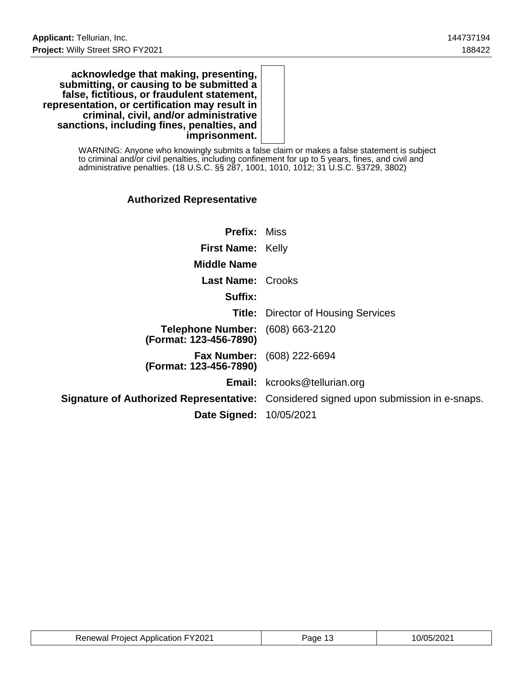**acknowledge that making, presenting, submitting, or causing to be submitted a false, fictitious, or fraudulent statement, representation, or certification may result in criminal, civil, and/or administrative sanctions, including fines, penalties, and imprisonment.**

> WARNING: Anyone who knowingly submits a false claim or makes a false statement is subject to criminal and/or civil penalties, including confinement for up to 5 years, fines, and civil and administrative penalties. (18 U.S.C. §§ 287, 1001, 1010, 1012; 31 U.S.C. §3729, 3802)

### **Authorized Representative**

| <b>Prefix: Miss</b>                                               |                                                                                              |
|-------------------------------------------------------------------|----------------------------------------------------------------------------------------------|
| <b>First Name: Kelly</b>                                          |                                                                                              |
| <b>Middle Name</b>                                                |                                                                                              |
| <b>Last Name: Crooks</b>                                          |                                                                                              |
| Suffix:                                                           |                                                                                              |
|                                                                   | <b>Title:</b> Director of Housing Services                                                   |
| <b>Telephone Number:</b> (608) 663-2120<br>(Format: 123-456-7890) |                                                                                              |
| (Format: 123-456-7890)                                            | <b>Fax Number:</b> (608) 222-6694                                                            |
|                                                                   | <b>Email:</b> kcrooks@tellurian.org                                                          |
|                                                                   | <b>Signature of Authorized Representative:</b> Considered signed upon submission in e-snaps. |
| <b>Date Signed: 10/05/2021</b>                                    |                                                                                              |

| <b>Renewal Project Application FY2021</b> | 'age | 10/05/2021 |
|-------------------------------------------|------|------------|
|-------------------------------------------|------|------------|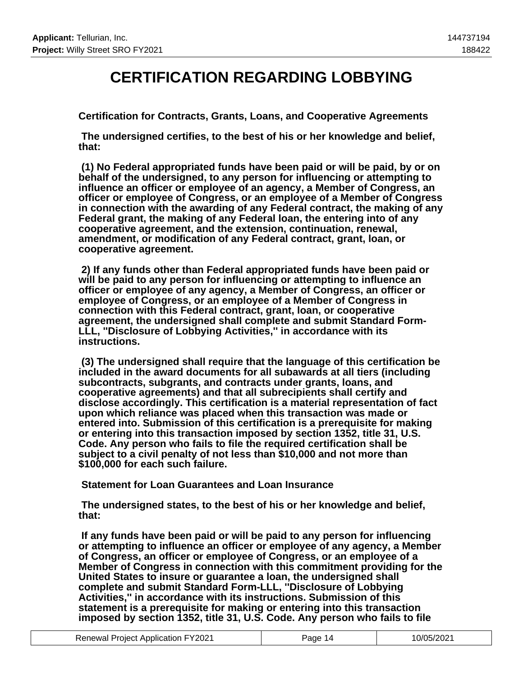### **CERTIFICATION REGARDING LOBBYING**

**Certification for Contracts, Grants, Loans, and Cooperative Agreements**

 **The undersigned certifies, to the best of his or her knowledge and belief, that:**

 **(1) No Federal appropriated funds have been paid or will be paid, by or on behalf of the undersigned, to any person for influencing or attempting to influence an officer or employee of an agency, a Member of Congress, an officer or employee of Congress, or an employee of a Member of Congress in connection with the awarding of any Federal contract, the making of any Federal grant, the making of any Federal loan, the entering into of any cooperative agreement, and the extension, continuation, renewal, amendment, or modification of any Federal contract, grant, loan, or cooperative agreement.**

 **2) If any funds other than Federal appropriated funds have been paid or will be paid to any person for influencing or attempting to influence an officer or employee of any agency, a Member of Congress, an officer or employee of Congress, or an employee of a Member of Congress in connection with this Federal contract, grant, loan, or cooperative agreement, the undersigned shall complete and submit Standard Form-LLL, ''Disclosure of Lobbying Activities,'' in accordance with its instructions.**

 **(3) The undersigned shall require that the language of this certification be included in the award documents for all subawards at all tiers (including subcontracts, subgrants, and contracts under grants, loans, and cooperative agreements) and that all subrecipients shall certify and disclose accordingly. This certification is a material representation of fact upon which reliance was placed when this transaction was made or entered into. Submission of this certification is a prerequisite for making or entering into this transaction imposed by section 1352, title 31, U.S. Code. Any person who fails to file the required certification shall be subject to a civil penalty of not less than \$10,000 and not more than \$100,000 for each such failure.**

 **Statement for Loan Guarantees and Loan Insurance**

 **The undersigned states, to the best of his or her knowledge and belief, that:**

 **If any funds have been paid or will be paid to any person for influencing or attempting to influence an officer or employee of any agency, a Member of Congress, an officer or employee of Congress, or an employee of a Member of Congress in connection with this commitment providing for the United States to insure or guarantee a loan, the undersigned shall complete and submit Standard Form-LLL, ''Disclosure of Lobbying Activities,'' in accordance with its instructions. Submission of this statement is a prerequisite for making or entering into this transaction imposed by section 1352, title 31, U.S. Code. Any person who fails to file**

| <b>Renewal Project Application FY2021</b> | Page 14 | 10/05/2021 |
|-------------------------------------------|---------|------------|
|-------------------------------------------|---------|------------|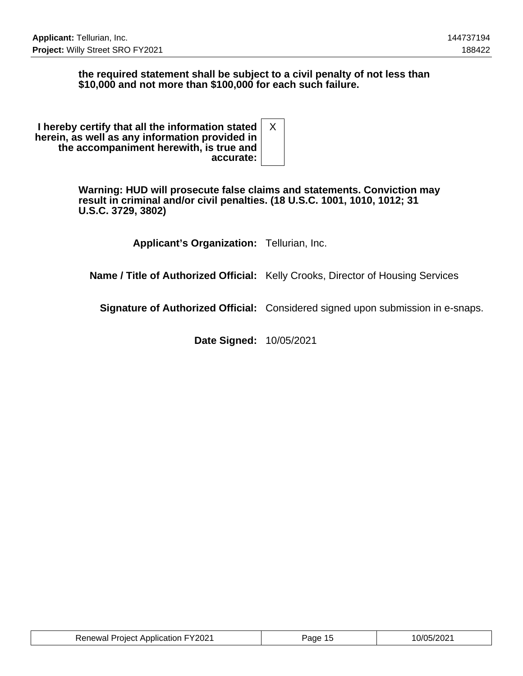#### **the required statement shall be subject to a civil penalty of not less than \$10,000 and not more than \$100,000 for each such failure.**

| I hereby certify that all the information stated<br>herein, as well as any information provided in<br>the accompaniment herewith, is true and |  |
|-----------------------------------------------------------------------------------------------------------------------------------------------|--|
| accurate:                                                                                                                                     |  |

**Warning: HUD will prosecute false claims and statements. Conviction may result in criminal and/or civil penalties. (18 U.S.C. 1001, 1010, 1012; 31 U.S.C. 3729, 3802)**

**Applicant's Organization:** Tellurian, Inc.

**Name / Title of Authorized Official:** Kelly Crooks, Director of Housing Services

**Signature of Authorized Official:** Considered signed upon submission in e-snaps.

**Date Signed:** 10/05/2021

| <b>Renewal Project Application FY2021</b> | Page 15 | 10/05/2021 |
|-------------------------------------------|---------|------------|
|-------------------------------------------|---------|------------|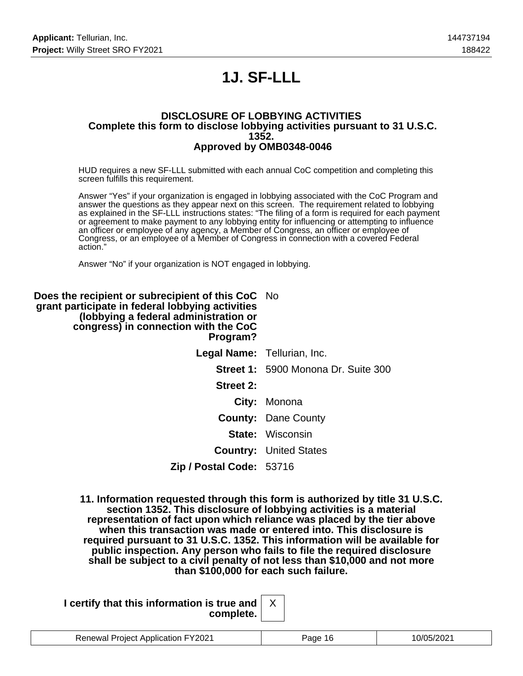# **1J. SF-LLL**

#### **DISCLOSURE OF LOBBYING ACTIVITIES Complete this form to disclose lobbying activities pursuant to 31 U.S.C. 1352. Approved by OMB0348-0046**

HUD requires a new SF-LLL submitted with each annual CoC competition and completing this screen fulfills this requirement.

Answer "Yes" if your organization is engaged in lobbying associated with the CoC Program and answer the questions as they appear next on this screen. The requirement related to lobbying as explained in the SF-LLL instructions states: "The filing of a form is required for each payment or agreement to make payment to any lobbying entity for influencing or attempting to influence an officer or employee of any agency, a Member of Congress, an officer or employee of Congress, or an employee of a Member of Congress in connection with a covered Federal action."

Answer "No" if your organization is NOT engaged in lobbying.

| <b>Does the recipient or subrecipient of this CoC</b> No<br>grant participate in federal lobbying activities<br>(lobbying a federal administration or<br>congress) in connection with the CoC<br>Program? |                                            |
|-----------------------------------------------------------------------------------------------------------------------------------------------------------------------------------------------------------|--------------------------------------------|
|                                                                                                                                                                                                           | Legal Name: Tellurian, Inc.                |
|                                                                                                                                                                                                           | <b>Street 1: 5900 Monona Dr. Suite 300</b> |
| Street 2:                                                                                                                                                                                                 |                                            |
|                                                                                                                                                                                                           | City: Monona                               |
|                                                                                                                                                                                                           | <b>County: Dane County</b>                 |
|                                                                                                                                                                                                           | <b>State: Wisconsin</b>                    |
|                                                                                                                                                                                                           | <b>Country: United States</b>              |
| Zip / Postal Code: 53716                                                                                                                                                                                  |                                            |

**11. Information requested through this form is authorized by title 31 U.S.C. section 1352. This disclosure of lobbying activities is a material representation of fact upon which reliance was placed by the tier above when this transaction was made or entered into. This disclosure is required pursuant to 31 U.S.C. 1352. This information will be available for public inspection. Any person who fails to file the required disclosure shall be subject to a civil penalty of not less than \$10,000 and not more than \$100,000 for each such failure.**

| I certify that this information is true and $\vert$ |  |
|-----------------------------------------------------|--|
| complete. $ $                                       |  |

|  | <b>Application FY2021</b><br>"NIACI<br>⊃on⊷…<br>וראר |  |  |
|--|------------------------------------------------------|--|--|
|--|------------------------------------------------------|--|--|

X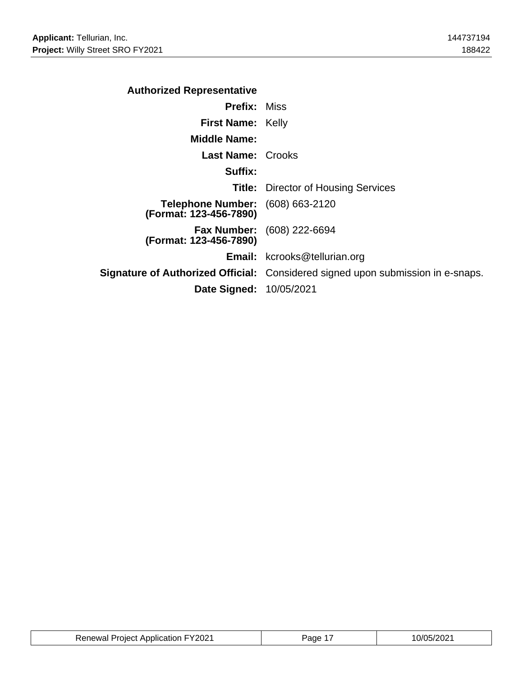| <b>Authorized Representative</b>                                  |                                                                                 |
|-------------------------------------------------------------------|---------------------------------------------------------------------------------|
| <b>Prefix: Miss</b>                                               |                                                                                 |
| <b>First Name: Kelly</b>                                          |                                                                                 |
| <b>Middle Name:</b>                                               |                                                                                 |
| <b>Last Name: Crooks</b>                                          |                                                                                 |
| Suffix:                                                           |                                                                                 |
|                                                                   | <b>Title:</b> Director of Housing Services                                      |
| <b>Telephone Number:</b> (608) 663-2120<br>(Format: 123-456-7890) |                                                                                 |
| (Format: 123-456-7890)                                            | <b>Fax Number:</b> (608) 222-6694                                               |
|                                                                   | <b>Email:</b> kcrooks@tellurian.org                                             |
|                                                                   | Signature of Authorized Official: Considered signed upon submission in e-snaps. |
| <b>Date Signed: 10/05/2021</b>                                    |                                                                                 |

| <b>Renewal Project Application FY2021</b> | Page | 10/05/2021 |
|-------------------------------------------|------|------------|
|-------------------------------------------|------|------------|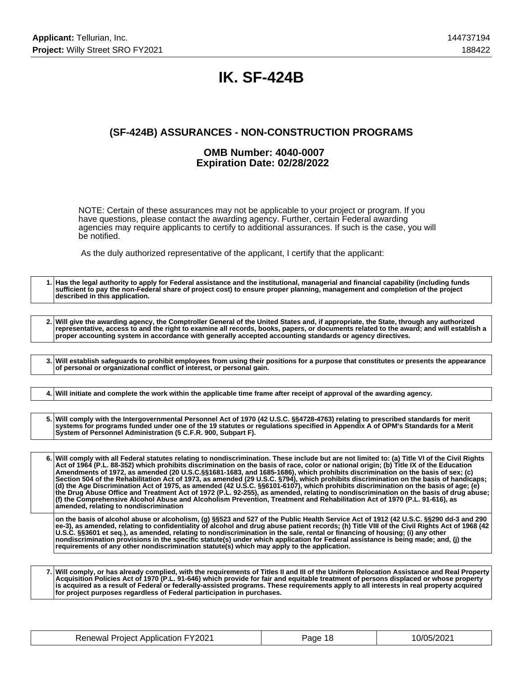### **IK. SF-424B**

### **(SF-424B) ASSURANCES - NON-CONSTRUCTION PROGRAMS**

#### **OMB Number: 4040-0007 Expiration Date: 02/28/2022**

NOTE: Certain of these assurances may not be applicable to your project or program. If you have questions, please contact the awarding agency. Further, certain Federal awarding agencies may require applicants to certify to additional assurances. If such is the case, you will be notified.

As the duly authorized representative of the applicant, I certify that the applicant:

**1. Has the legal authority to apply for Federal assistance and the institutional, managerial and financial capability (including funds sufficient to pay the non-Federal share of project cost) to ensure proper planning, management and completion of the project described in this application. 2. Will give the awarding agency, the Comptroller General of the United States and, if appropriate, the State, through any authorized representative, access to and the right to examine all records, books, papers, or documents related to the award; and will establish a proper accounting system in accordance with generally accepted accounting standards or agency directives. 3. Will establish safeguards to prohibit employees from using their positions for a purpose that constitutes or presents the appearance of personal or organizational conflict of interest, or personal gain. 4. Will initiate and complete the work within the applicable time frame after receipt of approval of the awarding agency. 5. Will comply with the Intergovernmental Personnel Act of 1970 (42 U.S.C. §§4728-4763) relating to prescribed standards for merit systems for programs funded under one of the 19 statutes or regulations specified in Appendix A of OPM's Standards for a Merit System of Personnel Administration (5 C.F.R. 900, Subpart F). 6. Will comply with all Federal statutes relating to nondiscrimination. These include but are not limited to: (a) Title VI of the Civil Rights Act of 1964 (P.L. 88-352) which prohibits discrimination on the basis of race, color or national origin; (b) Title IX of the Education Amendments of 1972, as amended (20 U.S.C.§§1681-1683, and 1685-1686), which prohibits discrimination on the basis of sex; (c) Section 504 of the Rehabilitation Act of 1973, as amended (29 U.S.C. §794), which prohibits discrimination on the basis of handicaps; (d) the Age Discrimination Act of 1975, as amended (42 U.S.C. §§6101-6107), which prohibits discrimination on the basis of age; (e) the Drug Abuse Office and Treatment Act of 1972 (P.L. 92-255), as amended, relating to nondiscrimination on the basis of drug abuse; (f) the Comprehensive Alcohol Abuse and Alcoholism Prevention, Treatment and Rehabilitation Act of 1970 (P.L. 91-616), as amended, relating to nondiscrimination on the basis of alcohol abuse or alcoholism, (g) §§523 and 527 of the Public Health Service Act of 1912 (42 U.S.C. §§290 dd-3 and 290 ee-3), as amended, relating to confidentiality of alcohol and drug abuse patient records; (h) Title VIII of the Civil Rights Act of 1968 (42 U.S.C. §§3601 et seq.), as amended, relating to nondiscrimination in the sale, rental or financing of housing; (i) any other nondiscrimination provisions in the specific statute(s) under which application for Federal assistance is being made; and, (j) the requirements of any other nondiscrimination statute(s) which may apply to the application.**

**7. Will comply, or has already complied, with the requirements of Titles II and III of the Uniform Relocation Assistance and Real Property Acquisition Policies Act of 1970 (P.L. 91-646) which provide for fair and equitable treatment of persons displaced or whose property is acquired as a result of Federal or federally-assisted programs. These requirements apply to all interests in real property acquired for project purposes regardless of Federal participation in purchases.**

| <b>Renewal Project Application FY2021</b> | Page 18 | 10/05/2021 |
|-------------------------------------------|---------|------------|
|-------------------------------------------|---------|------------|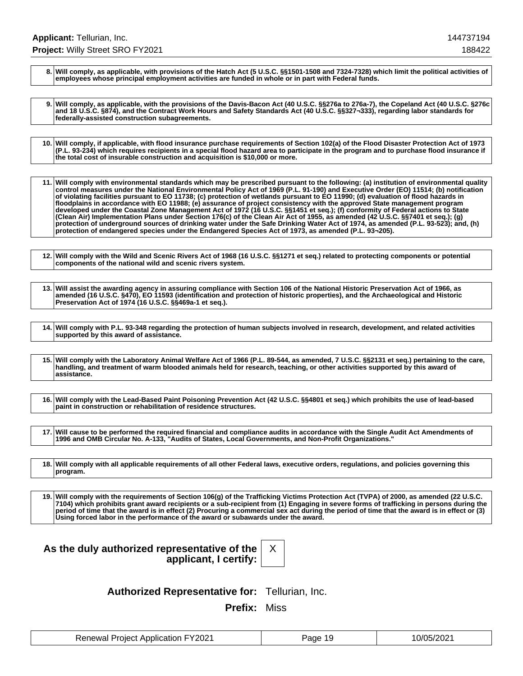**8. Will comply, as applicable, with provisions of the Hatch Act (5 U.S.C. §§1501-1508 and 7324-7328) which limit the political activities of employees whose principal employment activities are funded in whole or in part with Federal funds.**

**9. Will comply, as applicable, with the provisions of the Davis-Bacon Act (40 U.S.C. §§276a to 276a-7), the Copeland Act (40 U.S.C. §276c and 18 U.S.C. §874), and the Contract Work Hours and Safety Standards Act (40 U.S.C. §§327¬333), regarding labor standards for federally-assisted construction subagreements.**

**10. Will comply, if applicable, with flood insurance purchase requirements of Section 102(a) of the Flood Disaster Protection Act of 1973 (P.L. 93-234) which requires recipients in a special flood hazard area to participate in the program and to purchase flood insurance if the total cost of insurable construction and acquisition is \$10,000 or more.**

**11. Will comply with environmental standards which may be prescribed pursuant to the following: (a) institution of environmental quality control measures under the National Environmental Policy Act of 1969 (P.L. 91-190) and Executive Order (EO) 11514; (b) notification of violating facilities pursuant to EO 11738; (c) protection of wetlands pursuant to EO 11990; (d) evaluation of flood hazards in floodplains in accordance with EO 11988; (e) assurance of project consistency with the approved State management program developed under the Coastal Zone Management Act of 1972 (16 U.S.C. §§1451 et seq.); (f) conformity of Federal actions to State (Clean Air) Implementation Plans under Section 176(c) of the Clean Air Act of 1955, as amended (42 U.S.C. §§7401 et seq.); (g) protection of underground sources of drinking water under the Safe Drinking Water Act of 1974, as amended (P.L. 93-523); and, (h) protection of endangered species under the Endangered Species Act of 1973, as amended (P.L. 93¬205).**

**12. Will comply with the Wild and Scenic Rivers Act of 1968 (16 U.S.C. §§1271 et seq.) related to protecting components or potential components of the national wild and scenic rivers system.**

**13. Will assist the awarding agency in assuring compliance with Section 106 of the National Historic Preservation Act of 1966, as amended (16 U.S.C. §470), EO 11593 (identification and protection of historic properties), and the Archaeological and Historic Preservation Act of 1974 (16 U.S.C. §§469a-1 et seq.).**

**14. Will comply with P.L. 93-348 regarding the protection of human subjects involved in research, development, and related activities supported by this award of assistance.**

**15. Will comply with the Laboratory Animal Welfare Act of 1966 (P.L. 89-544, as amended, 7 U.S.C. §§2131 et seq.) pertaining to the care, handling, and treatment of warm blooded animals held for research, teaching, or other activities supported by this award of assistance.**

**16. Will comply with the Lead-Based Paint Poisoning Prevention Act (42 U.S.C. §§4801 et seq.) which prohibits the use of lead-based paint in construction or rehabilitation of residence structures.**

**17. Will cause to be performed the required financial and compliance audits in accordance with the Single Audit Act Amendments of 1996 and OMB Circular No. A-133, "Audits of States, Local Governments, and Non-Profit Organizations."**

**18. Will comply with all applicable requirements of all other Federal laws, executive orders, regulations, and policies governing this program.**

**19. Will comply with the requirements of Section 106(g) of the Trafficking Victims Protection Act (TVPA) of 2000, as amended (22 U.S.C. 7104) which prohibits grant award recipients or a sub-recipient from (1) Engaging in severe forms of trafficking in persons during the period of time that the award is in effect (2) Procuring a commercial sex act during the period of time that the award is in effect or (3) Using forced labor in the performance of the award or subawards under the award.**

### **As the duly authorized representative of the applicant, I certify:**

X

**Authorized Representative for:** Tellurian, Inc.

**Prefix:** Miss

| <b>Renewal Project Application FY2021</b> | Page 19 | 10/05/2021 |
|-------------------------------------------|---------|------------|
|-------------------------------------------|---------|------------|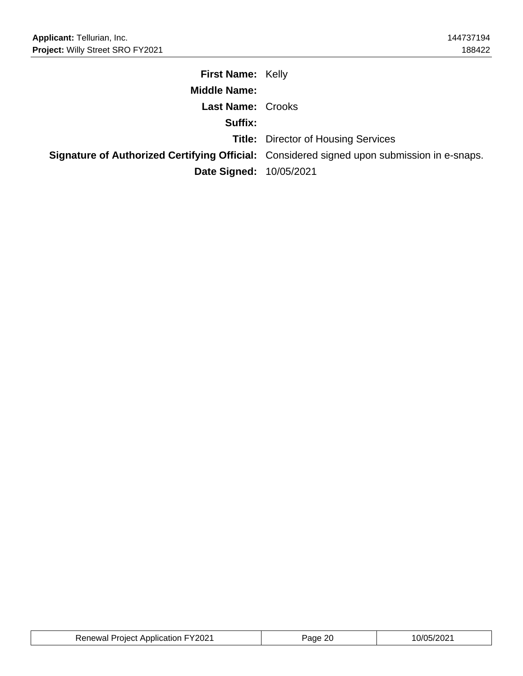| <b>First Name: Kelly</b>       |                                                                                                   |
|--------------------------------|---------------------------------------------------------------------------------------------------|
| <b>Middle Name:</b>            |                                                                                                   |
| <b>Last Name: Crooks</b>       |                                                                                                   |
| Suffix:                        |                                                                                                   |
|                                | <b>Title:</b> Director of Housing Services                                                        |
|                                | <b>Signature of Authorized Certifying Official:</b> Considered signed upon submission in e-snaps. |
| <b>Date Signed: 10/05/2021</b> |                                                                                                   |

| <b>Renewal Project Application FY2021</b> | ane | 05/2021 |
|-------------------------------------------|-----|---------|
|-------------------------------------------|-----|---------|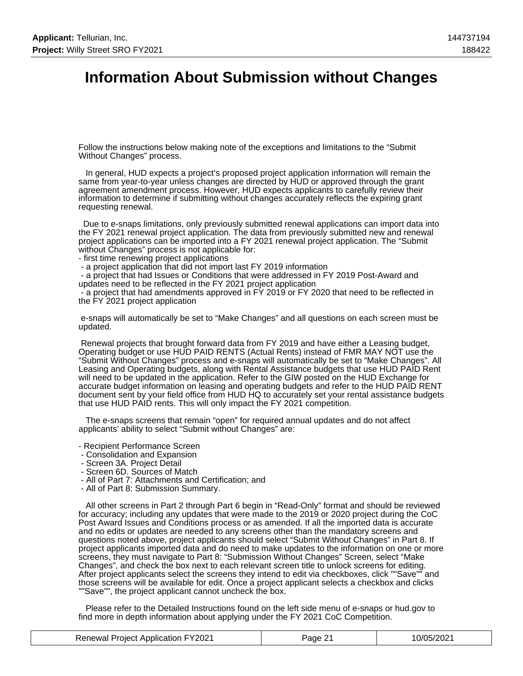### **Information About Submission without Changes**

Follow the instructions below making note of the exceptions and limitations to the "Submit Without Changes" process.

 In general, HUD expects a project's proposed project application information will remain the same from year-to-year unless changes are directed by HUD or approved through the grant agreement amendment process. However, HUD expects applicants to carefully review their information to determine if submitting without changes accurately reflects the expiring grant requesting renewal.

 Due to e-snaps limitations, only previously submitted renewal applications can import data into the FY 2021 renewal project application. The data from previously submitted new and renewal project applications can be imported into a FY 2021 renewal project application. The "Submit without Changes" process is not applicable for:

- first time renewing project applications
- a project application that did not import last FY 2019 information

 - a project that had Issues or Conditions that were addressed in FY 2019 Post-Award and updates need to be reflected in the FY 2021 project application

 - a project that had amendments approved in FY 2019 or FY 2020 that need to be reflected in the FY 2021 project application

 e-snaps will automatically be set to "Make Changes" and all questions on each screen must be updated.

 Renewal projects that brought forward data from FY 2019 and have either a Leasing budget, Operating budget or use HUD PAID RENTS (Actual Rents) instead of FMR MAY NOT use the "Submit Without Changes" process and e-snaps will automatically be set to "Make Changes". All Leasing and Operating budgets, along with Rental Assistance budgets that use HUD PAID Rent will need to be updated in the application. Refer to the GIW posted on the HUD Exchange for accurate budget information on leasing and operating budgets and refer to the HUD PAID RENT document sent by your field office from HUD HQ to accurately set your rental assistance budgets that use HUD PAID rents. This will only impact the FY 2021 competition.

 The e-snaps screens that remain "open" for required annual updates and do not affect applicants' ability to select "Submit without Changes" are:

- Recipient Performance Screen
- Consolidation and Expansion
- Screen 3A. Project Detail
- Screen 6D. Sources of Match
- All of Part 7: Attachments and Certification; and
- All of Part 8: Submission Summary.

 All other screens in Part 2 through Part 6 begin in "Read-Only" format and should be reviewed for accuracy; including any updates that were made to the 2019 or 2020 project during the CoC Post Award Issues and Conditions process or as amended. If all the imported data is accurate and no edits or updates are needed to any screens other than the mandatory screens and questions noted above, project applicants should select "Submit Without Changes" in Part 8. If project applicants imported data and do need to make updates to the information on one or more screens, they must navigate to Part 8: "Submission Without Changes" Screen, select "Make Changes", and check the box next to each relevant screen title to unlock screens for editing. After project applicants select the screens they intend to edit via checkboxes, click ""Save"" and those screens will be available for edit. Once a project applicant selects a checkbox and clicks ""Save"", the project applicant cannot uncheck the box.

 Please refer to the Detailed Instructions found on the left side menu of e-snaps or hud.gov to find more in depth information about applying under the FY 2021 CoC Competition.

| <b>Renewal Project Application FY2021</b> | Page 21 | 10/05/2021 |
|-------------------------------------------|---------|------------|
|-------------------------------------------|---------|------------|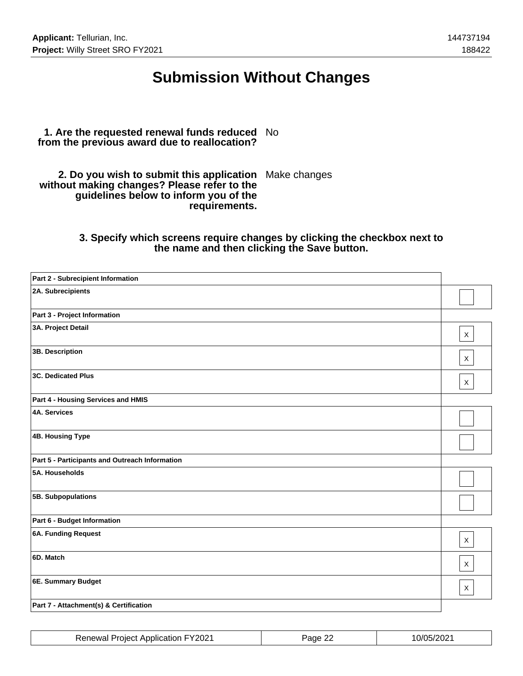### **Submission Without Changes**

#### **1. Are the requested renewal funds reduced** No **from the previous award due to reallocation?**

**2. Do you wish to submit this application** Make changes **without making changes? Please refer to the guidelines below to inform you of the requirements.**

#### **3. Specify which screens require changes by clicking the checkbox next to the name and then clicking the Save button.**

| Part 2 - Subrecipient Information              |              |
|------------------------------------------------|--------------|
| 2A. Subrecipients                              |              |
| Part 3 - Project Information                   |              |
| 3A. Project Detail                             | $\mathsf X$  |
| 3B. Description                                | $\mathsf{X}$ |
| <b>3C. Dedicated Plus</b>                      | $\times$     |
| Part 4 - Housing Services and HMIS             |              |
| <b>4A. Services</b>                            |              |
| 4B. Housing Type                               |              |
| Part 5 - Participants and Outreach Information |              |
| 5A. Households                                 |              |
| 5B. Subpopulations                             |              |
| Part 6 - Budget Information                    |              |
| 6A. Funding Request                            | $\mathsf{X}$ |
| 6D. Match                                      | $\mathsf{X}$ |
| 6E. Summary Budget                             | X            |
| Part 7 - Attachment(s) & Certification         |              |

| <b>Renewal Project Application FY2021</b> | Page 22 | 10/05/2021 |
|-------------------------------------------|---------|------------|
|-------------------------------------------|---------|------------|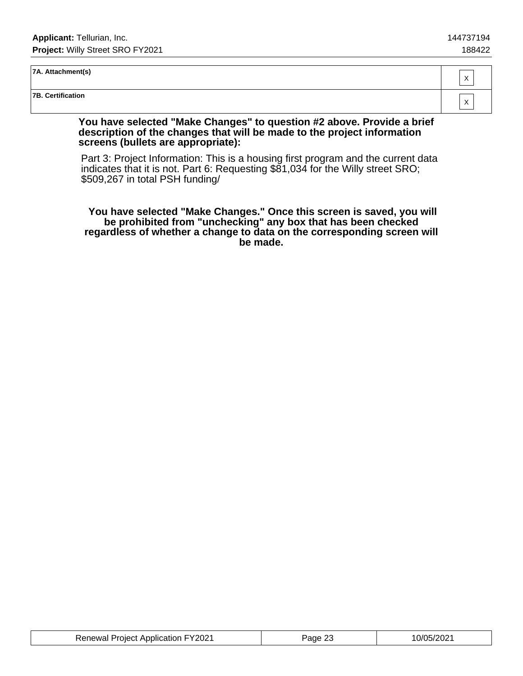#### **7A. Attachment(s)**

**7B. Certification**

#### **You have selected "Make Changes" to question #2 above. Provide a brief description of the changes that will be made to the project information screens (bullets are appropriate):**

Part 3: Project Information: This is a housing first program and the current data indicates that it is not. Part 6: Requesting \$81,034 for the Willy street SRO; \$509,267 in total PSH funding/

 **You have selected "Make Changes." Once this screen is saved, you will be prohibited from "unchecking" any box that has been checked regardless of whether a change to data on the corresponding screen will be made.**

| <b>Renewal Project Application FY2021</b> | ാറ<br>Page 25 | 10/05/2021 |
|-------------------------------------------|---------------|------------|
|-------------------------------------------|---------------|------------|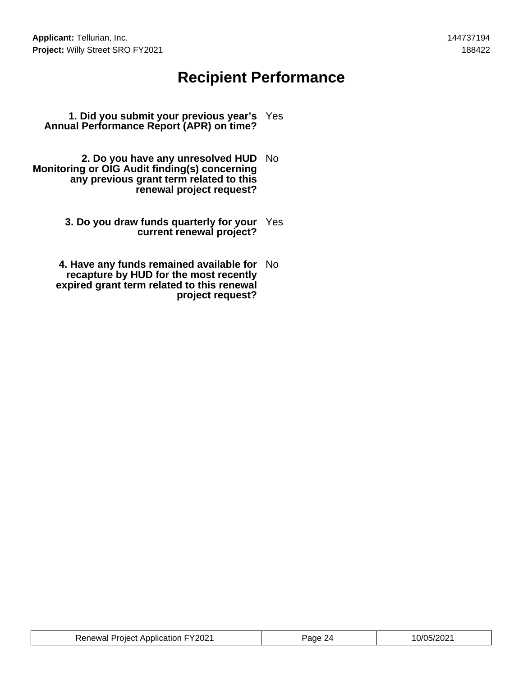### **Recipient Performance**

- **1. Did you submit your previous year's** Yes **Annual Performance Report (APR) on time?**
- **2. Do you have any unresolved HUD** No **Monitoring or OIG Audit finding(s) concerning any previous grant term related to this renewal project request?**
	- **3. Do you draw funds quarterly for your** Yes **current renewal project?**
	- **4. Have any funds remained available for** No **recapture by HUD for the most recently expired grant term related to this renewal project request?**

| <b>Renewal Project Application FY2021</b> | Page 24 | 10/05/2021 |
|-------------------------------------------|---------|------------|
|-------------------------------------------|---------|------------|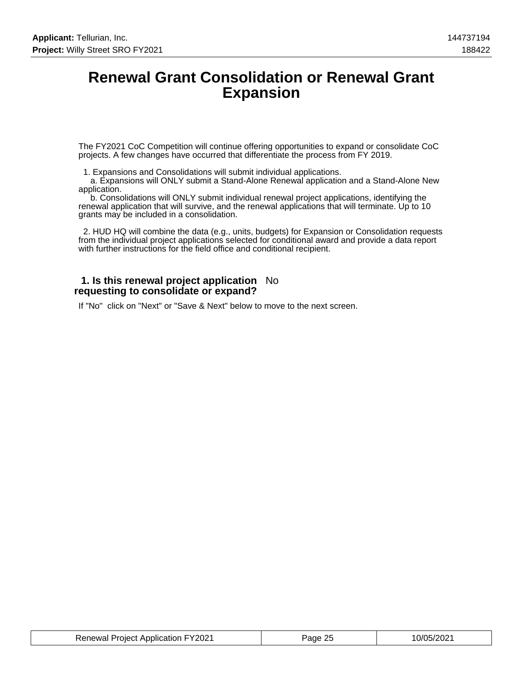### **Renewal Grant Consolidation or Renewal Grant Expansion**

The FY2021 CoC Competition will continue offering opportunities to expand or consolidate CoC projects. A few changes have occurred that differentiate the process from FY 2019.

1. Expansions and Consolidations will submit individual applications.

 a. Expansions will ONLY submit a Stand-Alone Renewal application and a Stand-Alone New application.

 b. Consolidations will ONLY submit individual renewal project applications, identifying the renewal application that will survive, and the renewal applications that will terminate. Up to 10 grants may be included in a consolidation.

 2. HUD HQ will combine the data (e.g., units, budgets) for Expansion or Consolidation requests from the individual project applications selected for conditional award and provide a data report with further instructions for the field office and conditional recipient.

#### **1. Is this renewal project application** No **requesting to consolidate or expand?**

If "No" click on "Next" or "Save & Next" below to move to the next screen.

| <b>Renewal Project Application FY2021</b> | Page 25 | 10/05/2021 |
|-------------------------------------------|---------|------------|
|-------------------------------------------|---------|------------|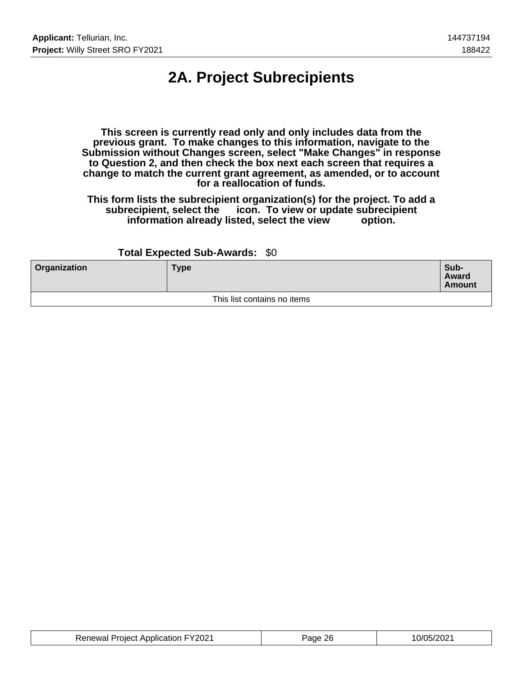# **2A. Project Subrecipients**

**This screen is currently read only and only includes data from the previous grant. To make changes to this information, navigate to the Submission without Changes screen, select "Make Changes" in response to Question 2, and then check the box next each screen that requires a change to match the current grant agreement, as amended, or to account for a reallocation of funds.**

**This form lists the subrecipient organization(s) for the project. To add a subrecipient, select the icon. To view or update subrecipient** information already listed, select the view

#### **Total Expected Sub-Awards:** \$0

| <b>Organization</b> | <b>Type</b>                 | Sub-<br>Award<br><b>Amount</b> |
|---------------------|-----------------------------|--------------------------------|
|                     | This list contains no items |                                |

| <b>Renewal Project Application FY2021</b> | Page 26 | 10/05/2021 |
|-------------------------------------------|---------|------------|
|-------------------------------------------|---------|------------|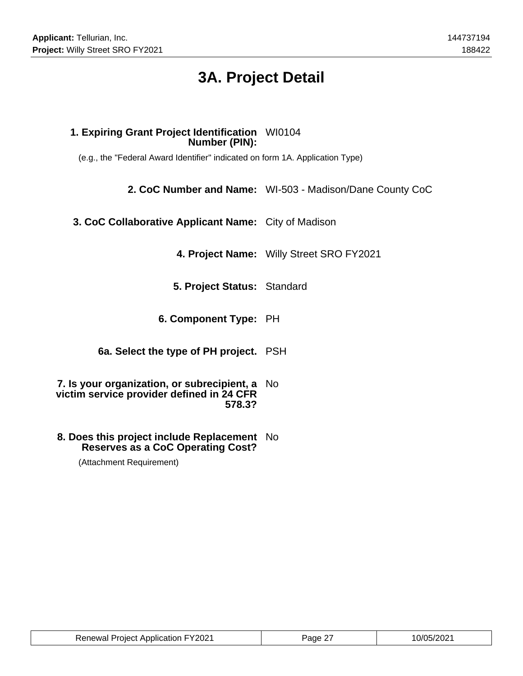# **3A. Project Detail**

### **1. Expiring Grant Project Identification** WI0104 **Number (PIN):**

(e.g., the "Federal Award Identifier" indicated on form 1A. Application Type)

**2. CoC Number and Name:** WI-503 - Madison/Dane County CoC

**3. CoC Collaborative Applicant Name:** City of Madison

**4. Project Name:** Willy Street SRO FY2021

**5. Project Status:** Standard

**6. Component Type:** PH

**6a. Select the type of PH project.** PSH

**7. Is your organization, or subrecipient, a** No **victim service provider defined in 24 CFR 578.3?**

#### **8. Does this project include Replacement** No **Reserves as a CoC Operating Cost?**

(Attachment Requirement)

| <b>Renewal Project Application FY2021</b> | Page 27 | 10/05/2021 |
|-------------------------------------------|---------|------------|
|-------------------------------------------|---------|------------|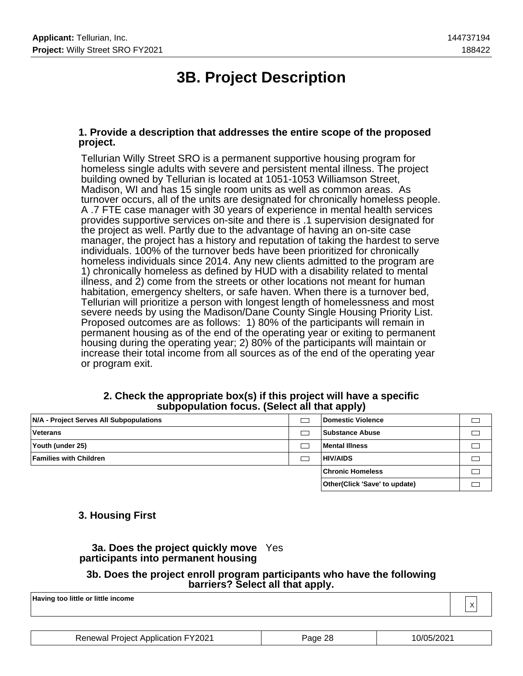# **3B. Project Description**

#### **1. Provide a description that addresses the entire scope of the proposed project.**

Tellurian Willy Street SRO is a permanent supportive housing program for homeless single adults with severe and persistent mental illness. The project building owned by Tellurian is located at 1051-1053 Williamson Street, Madison, WI and has 15 single room units as well as common areas. As turnover occurs, all of the units are designated for chronically homeless people. A .7 FTE case manager with 30 years of experience in mental health services provides supportive services on-site and there is .1 supervision designated for the project as well. Partly due to the advantage of having an on-site case manager, the project has a history and reputation of taking the hardest to serve individuals. 100% of the turnover beds have been prioritized for chronically homeless individuals since 2014. Any new clients admitted to the program are 1) chronically homeless as defined by HUD with a disability related to mental illness, and 2) come from the streets or other locations not meant for human habitation, emergency shelters, or safe haven. When there is a turnover bed, Tellurian will prioritize a person with longest length of homelessness and most severe needs by using the Madison/Dane County Single Housing Priority List. Proposed outcomes are as follows: 1) 80% of the participants will remain in permanent housing as of the end of the operating year or exiting to permanent housing during the operating year; 2) 80% of the participants will maintain or increase their total income from all sources as of the end of the operating year or program exit.

#### **2. Check the appropriate box(s) if this project will have a specific subpopulation focus. (Select all that apply)**

| N/A - Project Serves All Subpopulations | Domestic Violence             |  |
|-----------------------------------------|-------------------------------|--|
| <b>Veterans</b>                         | Substance Abuse               |  |
| Youth (under 25)                        | Mental Illness                |  |
| <b>Families with Children</b>           | <b>HIV/AIDS</b>               |  |
|                                         | <b>Chronic Homeless</b>       |  |
|                                         | Other(Click 'Save' to update) |  |

### **3. Housing First**

### **3a. Does the project quickly move** Yes **participants into permanent housing**

#### **3b. Does the project enroll program participants who have the following barriers? Select all that apply.**

| Having too little or little income |                        |
|------------------------------------|------------------------|
|                                    | $\lambda$<br>$\lambda$ |

| <b>Renewal Project Application FY2021</b> | Page 28 | 10/05/2021 |
|-------------------------------------------|---------|------------|
|-------------------------------------------|---------|------------|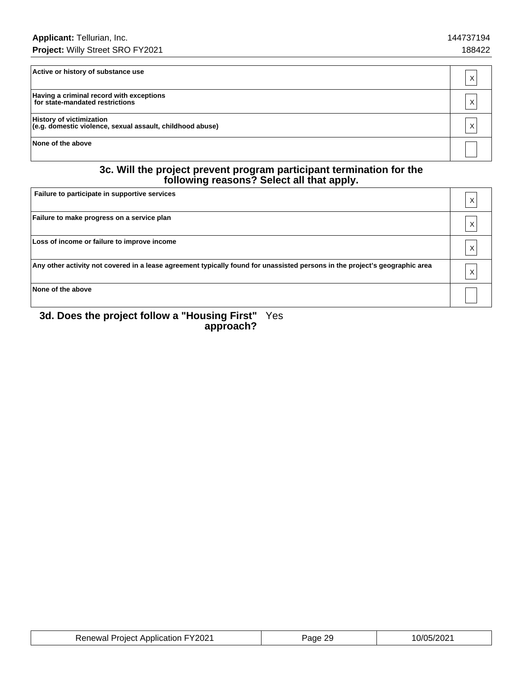| Active or history of substance use                                                           | X |
|----------------------------------------------------------------------------------------------|---|
| Having a criminal record with exceptions<br>for state-mandated restrictions                  | X |
| <b>History of victimization</b><br>(e.g. domestic violence, sexual assault, childhood abuse) | X |
| None of the above                                                                            |   |

#### **3c. Will the project prevent program participant termination for the following reasons? Select all that apply.**

| Failure to participate in supportive services                                                                               | Χ |
|-----------------------------------------------------------------------------------------------------------------------------|---|
| Failure to make progress on a service plan                                                                                  | Χ |
| Loss of income or failure to improve income                                                                                 | Χ |
| Any other activity not covered in a lease agreement typically found for unassisted persons in the project's geographic area | X |
| None of the above                                                                                                           |   |

#### **3d. Does the project follow a "Housing First" approach?** Yes

| <b>Renewal Project Application FY2021</b> | Page 29 | 10/05/2021 |
|-------------------------------------------|---------|------------|
|-------------------------------------------|---------|------------|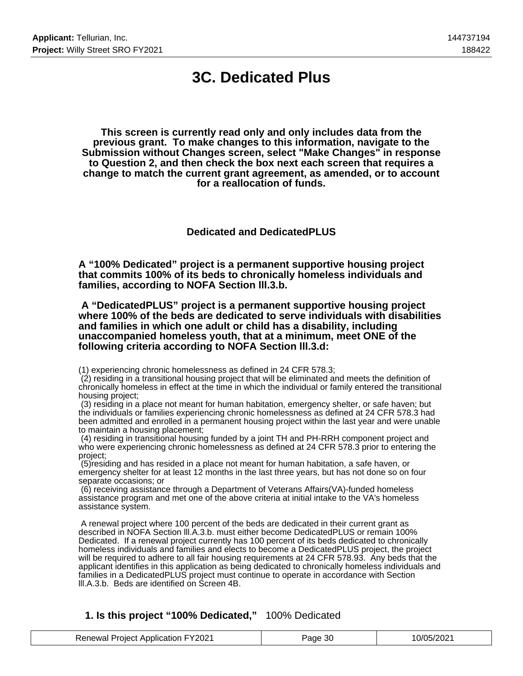### **3C. Dedicated Plus**

**This screen is currently read only and only includes data from the previous grant. To make changes to this information, navigate to the Submission without Changes screen, select "Make Changes" in response to Question 2, and then check the box next each screen that requires a change to match the current grant agreement, as amended, or to account for a reallocation of funds.**

**Dedicated and DedicatedPLUS**

**A "100% Dedicated" project is a permanent supportive housing project that commits 100% of its beds to chronically homeless individuals and families, according to NOFA Section lll.3.b.**

 **A "DedicatedPLUS" project is a permanent supportive housing project where 100% of the beds are dedicated to serve individuals with disabilities and families in which one adult or child has a disability, including unaccompanied homeless youth, that at a minimum, meet ONE of the following criteria according to NOFA Section lll.3.d:**

(1) experiencing chronic homelessness as defined in 24 CFR 578.3;

 (2) residing in a transitional housing project that will be eliminated and meets the definition of chronically homeless in effect at the time in which the individual or family entered the transitional housing project;

 (3) residing in a place not meant for human habitation, emergency shelter, or safe haven; but the individuals or families experiencing chronic homelessness as defined at 24 CFR 578.3 had been admitted and enrolled in a permanent housing project within the last year and were unable to maintain a housing placement;

 (4) residing in transitional housing funded by a joint TH and PH-RRH component project and who were experiencing chronic homelessness as defined at 24 CFR 578.3 prior to entering the project;

 (5)residing and has resided in a place not meant for human habitation, a safe haven, or emergency shelter for at least 12 months in the last three years, but has not done so on four separate occasions; or

 (6) receiving assistance through a Department of Veterans Affairs(VA)-funded homeless assistance program and met one of the above criteria at initial intake to the VA's homeless assistance system.

 A renewal project where 100 percent of the beds are dedicated in their current grant as described in NOFA Section lll.A.3.b. must either become DedicatedPLUS or remain 100% Dedicated. If a renewal project currently has 100 percent of its beds dedicated to chronically homeless individuals and families and elects to become a DedicatedPLUS project, the project will be required to adhere to all fair housing requirements at 24 CFR 578.93. Any beds that the applicant identifies in this application as being dedicated to chronically homeless individuals and families in a DedicatedPLUS project must continue to operate in accordance with Section lll.A.3.b. Beds are identified on Screen 4B.

#### **1. Is this project "100% Dedicated,"** 100% Dedicated

| <b>Renewal Project Application FY2021</b> | Page 30 | 10/05/2021 |
|-------------------------------------------|---------|------------|
|-------------------------------------------|---------|------------|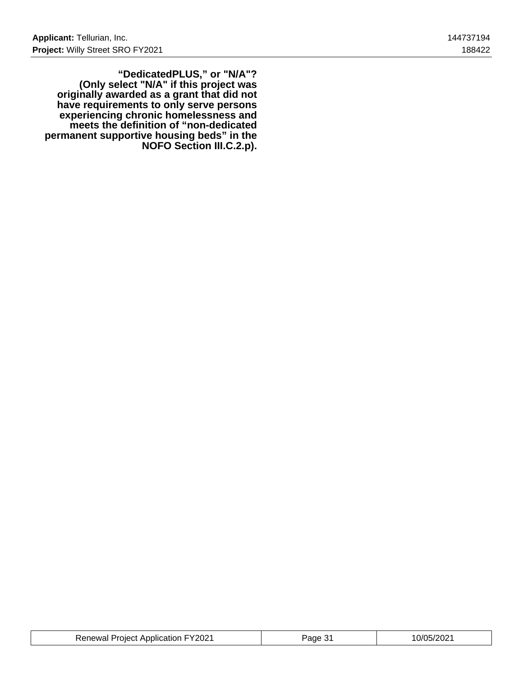**"DedicatedPLUS," or "N/A"? (Only select "N/A" if this project was originally awarded as a grant that did not have requirements to only serve persons experiencing chronic homelessness and meets the definition of "non-dedicated permanent supportive housing beds" in the NOFO Section III.C.2.p).**

| <b>Renewal Project Application FY2021</b><br>0/05/202<br>ane |
|--------------------------------------------------------------|
|--------------------------------------------------------------|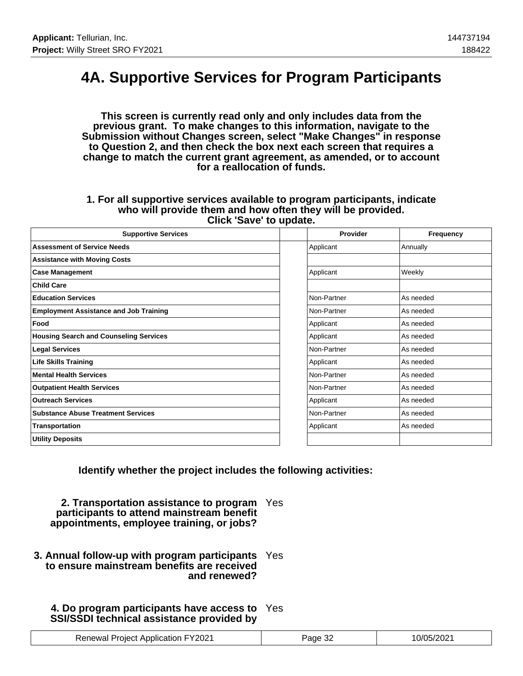## **4A. Supportive Services for Program Participants**

**This screen is currently read only and only includes data from the previous grant. To make changes to this information, navigate to the Submission without Changes screen, select "Make Changes" in response to Question 2, and then check the box next each screen that requires a change to match the current grant agreement, as amended, or to account for a reallocation of funds.**

#### **1. For all supportive services available to program participants, indicate who will provide them and how often they will be provided. Click 'Save' to update.**

| <b>Supportive Services</b>                    | Provider    | Frequency |
|-----------------------------------------------|-------------|-----------|
| <b>Assessment of Service Needs</b>            | Applicant   | Annually  |
| <b>Assistance with Moving Costs</b>           |             |           |
| <b>Case Management</b>                        | Applicant   | Weekly    |
| <b>Child Care</b>                             |             |           |
| <b>Education Services</b>                     | Non-Partner | As needed |
| <b>Employment Assistance and Job Training</b> | Non-Partner | As needed |
| Food                                          | Applicant   | As needed |
| <b>Housing Search and Counseling Services</b> | Applicant   | As needed |
| <b>Legal Services</b>                         | Non-Partner | As needed |
| <b>Life Skills Training</b>                   | Applicant   | As needed |
| <b>Mental Health Services</b>                 | Non-Partner | As needed |
| <b>Outpatient Health Services</b>             | Non-Partner | As needed |
| <b>Outreach Services</b>                      | Applicant   | As needed |
| <b>Substance Abuse Treatment Services</b>     | Non-Partner | As needed |
| Transportation                                | Applicant   | As needed |
| <b>Utility Deposits</b>                       |             |           |

**Identify whether the project includes the following activities:**

**2. Transportation assistance to program** Yes **participants to attend mainstream benefit appointments, employee training, or jobs?**

**3. Annual follow-up with program participants** Yes **to ensure mainstream benefits are received and renewed?**

### **4. Do program participants have access to** Yes **SSI/SSDI technical assistance provided by**

| <b>Renewal Project Application FY2021</b> | <sup>2</sup> age 32 | 10/05/2021 |
|-------------------------------------------|---------------------|------------|
|-------------------------------------------|---------------------|------------|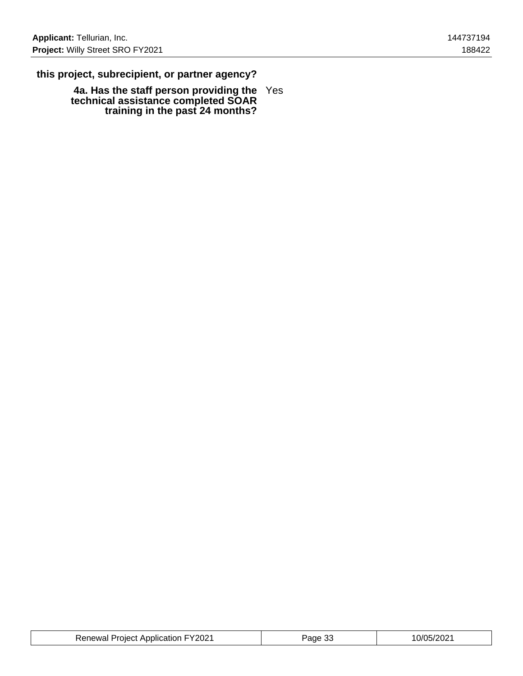### **this project, subrecipient, or partner agency?**

**4a. Has the staff person providing the technical assistance completed SOAR training in the past 24 months?** Yes

| <b>Renewal Project Application FY2021</b> | Page 33 | 10/05/2021 |
|-------------------------------------------|---------|------------|
|-------------------------------------------|---------|------------|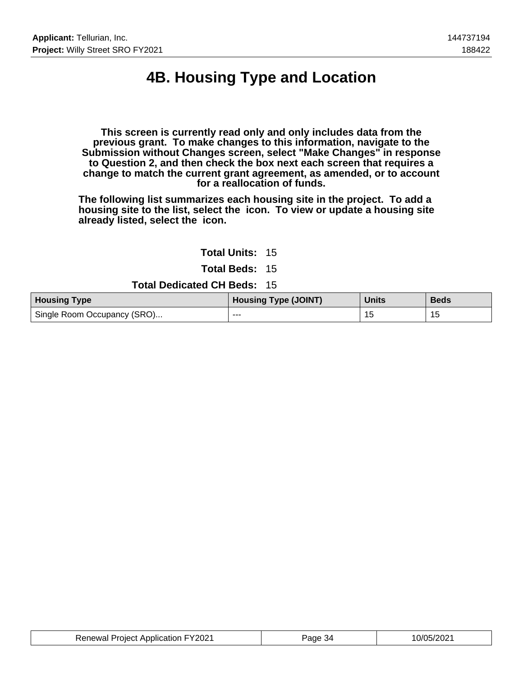# **4B. Housing Type and Location**

**This screen is currently read only and only includes data from the previous grant. To make changes to this information, navigate to the Submission without Changes screen, select "Make Changes" in response to Question 2, and then check the box next each screen that requires a change to match the current grant agreement, as amended, or to account for a reallocation of funds.**

**The following list summarizes each housing site in the project. To add a housing site to the list, select the icon. To view or update a housing site already listed, select the icon.**

#### **Total Units:** 15

**Total Beds:** 15

**Total Dedicated CH Beds:** 15

| <b>Housing Type</b>         | <b>Housing Type (JOINT)</b> | <b>Units</b> | <b>Beds</b> |
|-----------------------------|-----------------------------|--------------|-------------|
| Single Room Occupancy (SRO) | ---                         |              | 15          |

| <b>Renewal Project Application FY2021</b> | Page 34 | 10/05/2021 |
|-------------------------------------------|---------|------------|
|-------------------------------------------|---------|------------|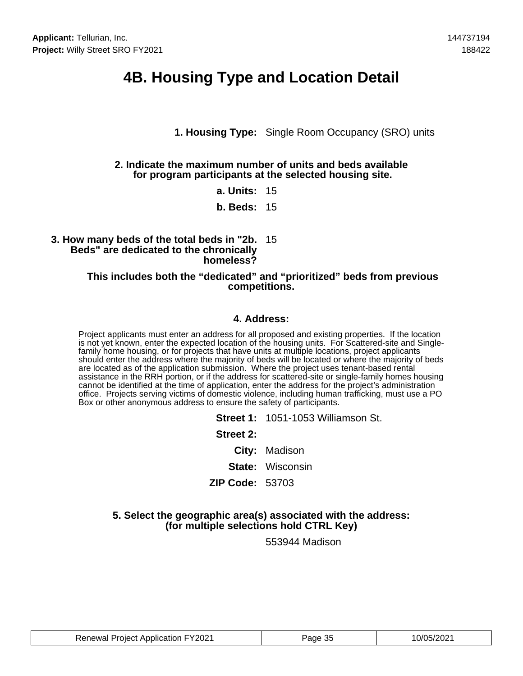### **4B. Housing Type and Location Detail**

**1. Housing Type:** Single Room Occupancy (SRO) units

#### **2. Indicate the maximum number of units and beds available for program participants at the selected housing site.**

**a. Units:** 15

**b. Beds:** 15

#### **3. How many beds of the total beds in "2b.** 15 **Beds" are dedicated to the chronically homeless?**

#### **This includes both the "dedicated" and "prioritized" beds from previous competitions.**

#### **4. Address:**

Project applicants must enter an address for all proposed and existing properties. If the location is not yet known, enter the expected location of the housing units. For Scattered-site and Singlefamily home housing, or for projects that have units at multiple locations, project applicants should enter the address where the majority of beds will be located or where the majority of beds are located as of the application submission. Where the project uses tenant-based rental assistance in the RRH portion, or if the address for scattered-site or single-family homes housing cannot be identified at the time of application, enter the address for the project's administration office. Projects serving victims of domestic violence, including human trafficking, must use a PO Box or other anonymous address to ensure the safety of participants.

|                 | <b>Street 1: 1051-1053 Williamson St.</b> |
|-----------------|-------------------------------------------|
| Street 2:       |                                           |
|                 | City: Madison                             |
|                 | <b>State: Wisconsin</b>                   |
| ZIP Code: 53703 |                                           |
|                 |                                           |

#### **5. Select the geographic area(s) associated with the address: (for multiple selections hold CTRL Key)**

553944 Madison

| <b>Renewal Project Application FY2021</b> | Page 35 | 10/05/2021 |
|-------------------------------------------|---------|------------|
|-------------------------------------------|---------|------------|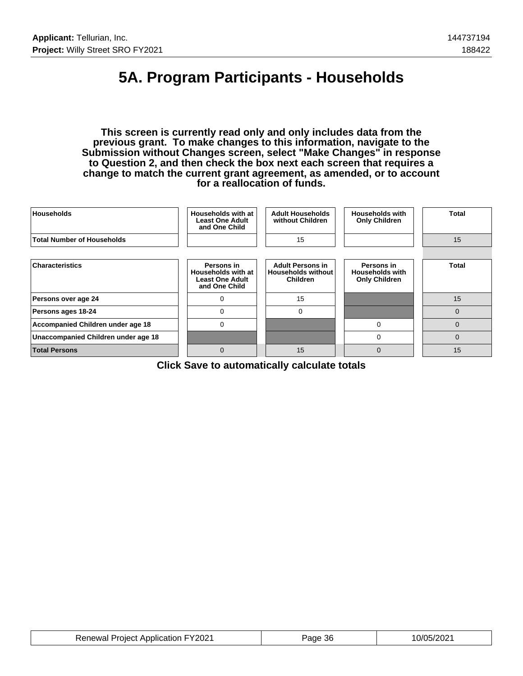# **5A. Program Participants - Households**

**This screen is currently read only and only includes data from the previous grant. To make changes to this information, navigate to the Submission without Changes screen, select "Make Changes" in response to Question 2, and then check the box next each screen that requires a change to match the current grant agreement, as amended, or to account for a reallocation of funds.**

| <b>Households</b>                   | Households with at<br><b>Least One Adult</b><br>and One Child               | <b>Adult Households</b><br>without Children                             | <b>Households with</b><br><b>Only Children</b>               | Total        |
|-------------------------------------|-----------------------------------------------------------------------------|-------------------------------------------------------------------------|--------------------------------------------------------------|--------------|
| <b>Total Number of Households</b>   |                                                                             | 15                                                                      |                                                              | 15           |
|                                     |                                                                             |                                                                         |                                                              |              |
| <b>Characteristics</b>              | Persons in<br>Households with at<br><b>Least One Adult</b><br>and One Child | <b>Adult Persons in</b><br><b>Households without</b><br><b>Children</b> | Persons in<br><b>Households with</b><br><b>Only Children</b> | <b>Total</b> |
| Persons over age 24                 | $\Omega$                                                                    | 15                                                                      |                                                              | 15           |
| Persons ages 18-24                  | $\Omega$                                                                    | $\Omega$                                                                |                                                              | $\Omega$     |
| Accompanied Children under age 18   | $\mathbf 0$                                                                 |                                                                         | 0                                                            | $\Omega$     |
| Unaccompanied Children under age 18 |                                                                             |                                                                         | 0                                                            | 0            |
| <b>Total Persons</b>                | $\Omega$                                                                    | 15                                                                      | $\mathbf 0$                                                  | 15           |

**Click Save to automatically calculate totals**

| <b>Renewal Project Application FY2021</b> | Page 36 | 10/05/2021 |
|-------------------------------------------|---------|------------|
|-------------------------------------------|---------|------------|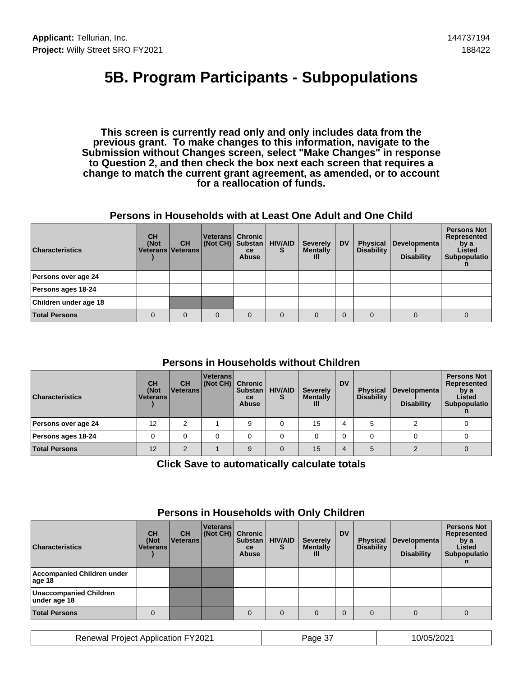## **5B. Program Participants - Subpopulations**

**This screen is currently read only and only includes data from the previous grant. To make changes to this information, navigate to the Submission without Changes screen, select "Make Changes" in response to Question 2, and then check the box next each screen that requires a change to match the current grant agreement, as amended, or to account for a reallocation of funds.**

#### **Persons in Households with at Least One Adult and One Child**

| <b>Characteristics</b> | <b>CH</b><br>(Not<br>Veterans   Veterans | <b>CH</b> | Veterans   Chronic<br>(Not CH) Substan | <b>ce</b><br><b>Abuse</b> | <b>HIV/AID</b><br>s | <b>Severely</b><br><b>Mentally</b><br>Ш | <b>DV</b> | <b>Physical</b><br><b>Disability</b> | Developmenta<br><b>Disability</b> | <b>Persons Not</b><br>Represented<br>by a<br>Listed<br>Subpopulatio |
|------------------------|------------------------------------------|-----------|----------------------------------------|---------------------------|---------------------|-----------------------------------------|-----------|--------------------------------------|-----------------------------------|---------------------------------------------------------------------|
| Persons over age 24    |                                          |           |                                        |                           |                     |                                         |           |                                      |                                   |                                                                     |
| Persons ages 18-24     |                                          |           |                                        |                           |                     |                                         |           |                                      |                                   |                                                                     |
| Children under age 18  |                                          |           |                                        |                           |                     |                                         |           |                                      |                                   |                                                                     |
| <b>Total Persons</b>   | 0                                        | $\Omega$  | 0                                      | $\Omega$                  | $\Omega$            |                                         |           |                                      |                                   | 0                                                                   |

### **Persons in Households without Children**

| <b>Characteristics</b> | <b>CH</b><br>(Not<br><b>Veterans</b> | <b>CH</b><br>l Veterans l | <b>Veterans</b><br>(Not CH) Chronic | <b>Substan</b><br>ce<br><b>Abuse</b> | <b>HIV/AID</b> | <b>Severely</b><br><b>Mentally</b><br>Ш | <b>DV</b> | <b>Physical</b><br><b>Disability</b> | Developmenta<br><b>Disability</b> | <b>Persons Not</b><br>Represented<br>by a<br>Listed<br>Subpopulatio |
|------------------------|--------------------------------------|---------------------------|-------------------------------------|--------------------------------------|----------------|-----------------------------------------|-----------|--------------------------------------|-----------------------------------|---------------------------------------------------------------------|
| Persons over age 24    | 12                                   | ົ                         |                                     | 9                                    |                | 15                                      |           |                                      |                                   |                                                                     |
| Persons ages 18-24     |                                      |                           |                                     |                                      |                |                                         |           |                                      |                                   |                                                                     |
| <b>Total Persons</b>   | 12                                   | $\sim$                    |                                     | 9                                    | $\Omega$       | 15                                      |           | 5                                    |                                   |                                                                     |

**Click Save to automatically calculate totals**

| <b>Characteristics</b>                        | <b>CH</b><br>(Not<br><b>Veterans</b> | <b>CH</b><br>l Veterans l | Veterans<br>(Not CH) Chronic | <b>Substan</b><br>ce<br><b>Abuse</b> | <b>HIV/AID</b><br>S | <b>Severely</b><br><b>Mentally</b><br>Ш | <b>DV</b> | <b>Physical</b><br><b>Disability</b> | Developmenta<br><b>Disability</b> | <b>Persons Not</b><br>Represented<br>by a<br>Listed<br>Subpopulatio |
|-----------------------------------------------|--------------------------------------|---------------------------|------------------------------|--------------------------------------|---------------------|-----------------------------------------|-----------|--------------------------------------|-----------------------------------|---------------------------------------------------------------------|
| Accompanied Children under<br>age 18          |                                      |                           |                              |                                      |                     |                                         |           |                                      |                                   |                                                                     |
| <b>Unaccompanied Children</b><br>under age 18 |                                      |                           |                              |                                      |                     |                                         |           |                                      |                                   |                                                                     |
| <b>Total Persons</b>                          |                                      |                           |                              | $\Omega$                             | $\Omega$            |                                         |           |                                      |                                   |                                                                     |

### **Persons in Households with Only Children**

Renewal Project Application FY2021 Page 37 10/05/2021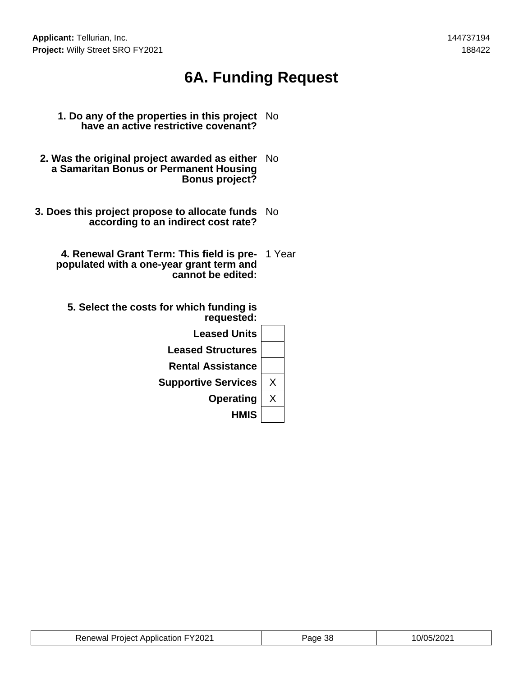# **6A. Funding Request**

- **1. Do any of the properties in this project have an active restrictive covenant?** No
- **2. Was the original project awarded as either** No **a Samaritan Bonus or Permanent Housing Bonus project?**
- **3. Does this project propose to allocate funds** No **according to an indirect cost rate?**
	- **4. Renewal Grant Term: This field is pre-**1 Year **populated with a one-year grant term and cannot be edited:**
		- **5. Select the costs for which funding is requested:**

| <b>Leased Units</b><br><b>Leased Structures</b> |   |
|-------------------------------------------------|---|
|                                                 |   |
|                                                 |   |
| <b>Rental Assistance</b>                        |   |
| <b>Supportive Services</b>                      | Χ |
| <b>Operating</b>                                | Χ |
| <b>HMIS</b>                                     |   |

| <b>Renewal Project Application FY2021</b> | Page 38 | 10/05/2021 |
|-------------------------------------------|---------|------------|
|-------------------------------------------|---------|------------|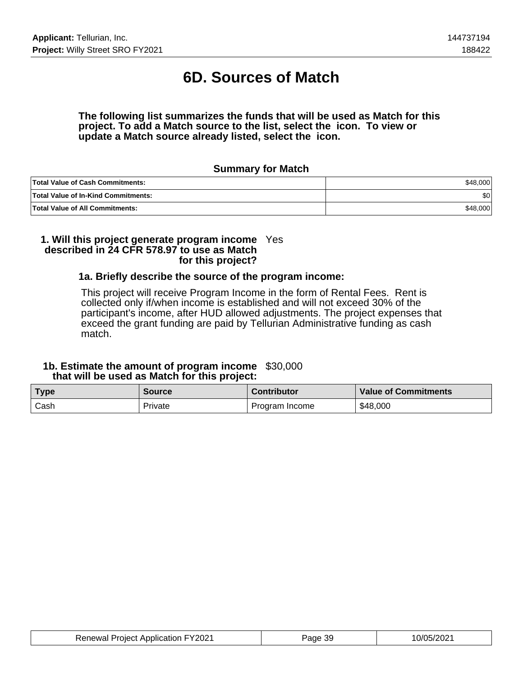# **6D. Sources of Match**

#### **The following list summarizes the funds that will be used as Match for this project. To add a Match source to the list, select the icon. To view or update a Match source already listed, select the icon.**

#### **Summary for Match**

| <b>Total Value of Cash Commitments:</b>    | \$48,000 |
|--------------------------------------------|----------|
| <b>Total Value of In-Kind Commitments:</b> | ا 30     |
| <b>Total Value of All Commitments:</b>     | \$48,000 |

#### **1. Will this project generate program income** Yes **described in 24 CFR 578.97 to use as Match for this project?**

#### **1a. Briefly describe the source of the program income:**

This project will receive Program Income in the form of Rental Fees. Rent is collected only if/when income is established and will not exceed 30% of the participant's income, after HUD allowed adjustments. The project expenses that exceed the grant funding are paid by Tellurian Administrative funding as cash match.

#### **1b. Estimate the amount of program income** \$30,000  **that will be used as Match for this project:**

| <b>Type</b> | <b>Source</b> | <b>Contributor</b> | <b>Value of Commitments</b> |
|-------------|---------------|--------------------|-----------------------------|
| Cash        | Private       | Program Income     | \$48,000                    |

| <b>Renewal Project Application FY2021</b> | -39<br>Page | 10/05/2021 |
|-------------------------------------------|-------------|------------|
|-------------------------------------------|-------------|------------|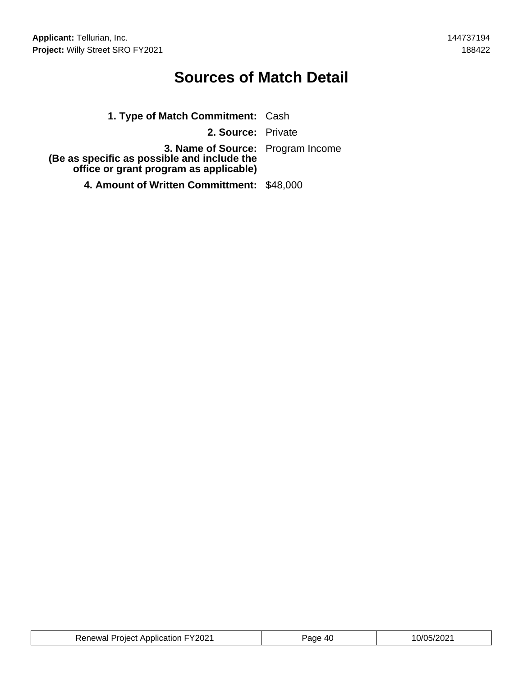## **Sources of Match Detail**

| 1. Type of Match Commitment: Cash                                                                                          |  |
|----------------------------------------------------------------------------------------------------------------------------|--|
| 2. Source: Private                                                                                                         |  |
| 3. Name of Source: Program Income<br>(Be as specific as possible and include the<br>office or grant program as applicable) |  |
| 4. Amount of Written Committment: \$48,000                                                                                 |  |

| <b>Renewal Project Application FY2021</b> | <sup>2</sup> age 40 | 10/05/2021 |
|-------------------------------------------|---------------------|------------|
|-------------------------------------------|---------------------|------------|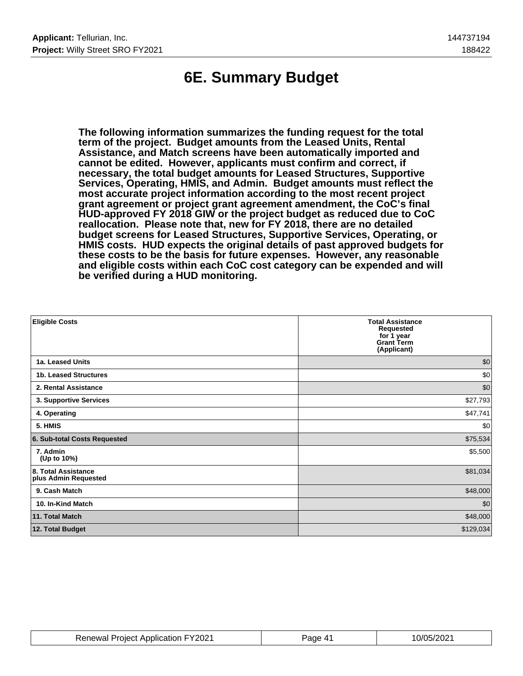# **6E. Summary Budget**

**The following information summarizes the funding request for the total term of the project. Budget amounts from the Leased Units, Rental Assistance, and Match screens have been automatically imported and cannot be edited. However, applicants must confirm and correct, if necessary, the total budget amounts for Leased Structures, Supportive Services, Operating, HMIS, and Admin. Budget amounts must reflect the most accurate project information according to the most recent project grant agreement or project grant agreement amendment, the CoC's final HUD-approved FY 2018 GIW or the project budget as reduced due to CoC reallocation. Please note that, new for FY 2018, there are no detailed budget screens for Leased Structures, Supportive Services, Operating, or HMIS costs. HUD expects the original details of past approved budgets for these costs to be the basis for future expenses. However, any reasonable and eligible costs within each CoC cost category can be expended and will be verified during a HUD monitoring.**

| <b>Eligible Costs</b>                       | <b>Total Assistance</b><br>Requested<br>for 1 year<br><b>Grant Term</b><br>(Applicant) |
|---------------------------------------------|----------------------------------------------------------------------------------------|
| 1a. Leased Units                            | \$0                                                                                    |
| 1b. Leased Structures                       | \$0                                                                                    |
| 2. Rental Assistance                        | \$0                                                                                    |
| 3. Supportive Services                      | \$27,793                                                                               |
| 4. Operating                                | \$47,741                                                                               |
| 5. HMIS                                     | \$0                                                                                    |
| 6. Sub-total Costs Requested                | \$75,534                                                                               |
| 7. Admin<br>(Up to 10%)                     | \$5,500                                                                                |
| 8. Total Assistance<br>plus Admin Requested | \$81,034                                                                               |
| 9. Cash Match                               | \$48,000                                                                               |
| 10. In-Kind Match                           | \$0                                                                                    |
| 11. Total Match                             | \$48,000                                                                               |
| 12. Total Budget                            | \$129,034                                                                              |

| <b>Renewal Project Application FY2021</b> | Page 41 | 10/05/2021 |
|-------------------------------------------|---------|------------|
|-------------------------------------------|---------|------------|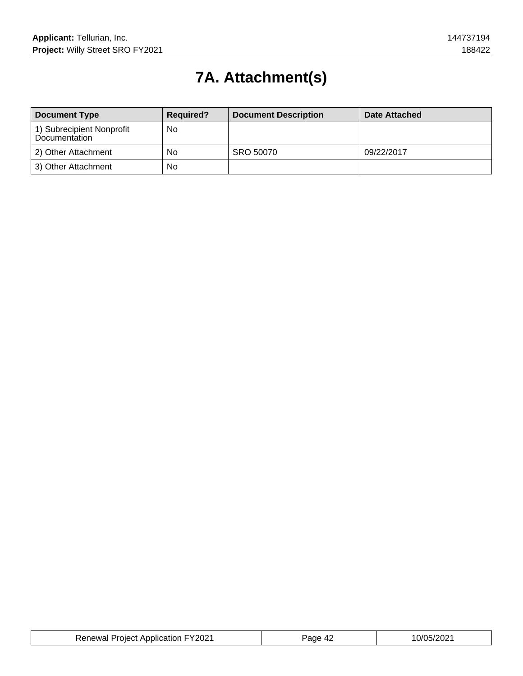# **7A. Attachment(s)**

| <b>Document Type</b>                       | <b>Required?</b> | <b>Document Description</b> | Date Attached |
|--------------------------------------------|------------------|-----------------------------|---------------|
| 1) Subrecipient Nonprofit<br>Documentation | <b>No</b>        |                             |               |
| 2) Other Attachment                        | No               | SRO 50070                   | 09/22/2017    |
| 3) Other Attachment                        | No               |                             |               |

| FY2021<br>Renewal<br><b>Project Application F</b> | 'ane<br>л. | 0/05/202 |
|---------------------------------------------------|------------|----------|
|---------------------------------------------------|------------|----------|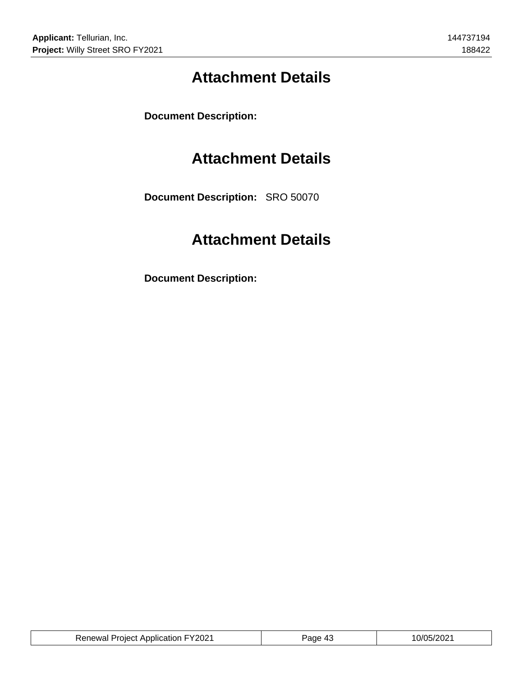# **Attachment Details**

**Document Description:**

### **Attachment Details**

**Document Description:** SRO 50070

# **Attachment Details**

**Document Description:**

| <b>Renewal Project Application FY2021</b> | $P$ age 4. | 10/05/2021 |
|-------------------------------------------|------------|------------|
|                                           |            |            |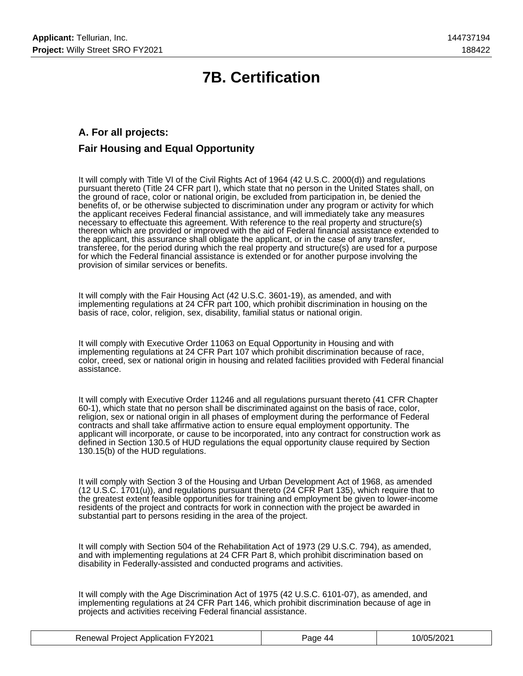# **7B. Certification**

### **A. For all projects: Fair Housing and Equal Opportunity**

It will comply with Title VI of the Civil Rights Act of 1964 (42 U.S.C. 2000(d)) and regulations pursuant thereto (Title 24 CFR part I), which state that no person in the United States shall, on the ground of race, color or national origin, be excluded from participation in, be denied the benefits of, or be otherwise subjected to discrimination under any program or activity for which the applicant receives Federal financial assistance, and will immediately take any measures necessary to effectuate this agreement. With reference to the real property and structure(s) thereon which are provided or improved with the aid of Federal financial assistance extended to the applicant, this assurance shall obligate the applicant, or in the case of any transfer, transferee, for the period during which the real property and structure(s) are used for a purpose for which the Federal financial assistance is extended or for another purpose involving the provision of similar services or benefits.

It will comply with the Fair Housing Act (42 U.S.C. 3601-19), as amended, and with implementing regulations at 24 CFR part 100, which prohibit discrimination in housing on the basis of race, color, religion, sex, disability, familial status or national origin.

It will comply with Executive Order 11063 on Equal Opportunity in Housing and with implementing regulations at 24 CFR Part 107 which prohibit discrimination because of race, color, creed, sex or national origin in housing and related facilities provided with Federal financial assistance.

It will comply with Executive Order 11246 and all regulations pursuant thereto (41 CFR Chapter 60-1), which state that no person shall be discriminated against on the basis of race, color, religion, sex or national origin in all phases of employment during the performance of Federal contracts and shall take affirmative action to ensure equal employment opportunity. The applicant will incorporate, or cause to be incorporated, into any contract for construction work as defined in Section 130.5 of HUD regulations the equal opportunity clause required by Section 130.15(b) of the HUD regulations.

It will comply with Section 3 of the Housing and Urban Development Act of 1968, as amended (12 U.S.C. 1701(u)), and regulations pursuant thereto (24 CFR Part 135), which require that to the greatest extent feasible opportunities for training and employment be given to lower-income residents of the project and contracts for work in connection with the project be awarded in substantial part to persons residing in the area of the project.

It will comply with Section 504 of the Rehabilitation Act of 1973 (29 U.S.C. 794), as amended, and with implementing regulations at 24 CFR Part 8, which prohibit discrimination based on disability in Federally-assisted and conducted programs and activities.

It will comply with the Age Discrimination Act of 1975 (42 U.S.C. 6101-07), as amended, and implementing regulations at 24 CFR Part 146, which prohibit discrimination because of age in projects and activities receiving Federal financial assistance.

| <b>Renewal Project Application FY2021</b> | Page 44 | 10/05/2021 |
|-------------------------------------------|---------|------------|
|-------------------------------------------|---------|------------|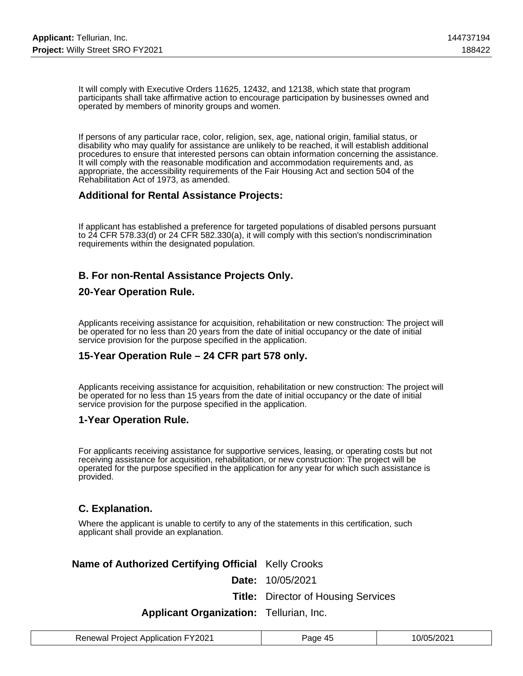It will comply with Executive Orders 11625, 12432, and 12138, which state that program participants shall take affirmative action to encourage participation by businesses owned and operated by members of minority groups and women.

If persons of any particular race, color, religion, sex, age, national origin, familial status, or disability who may qualify for assistance are unlikely to be reached, it will establish additional procedures to ensure that interested persons can obtain information concerning the assistance. It will comply with the reasonable modification and accommodation requirements and, as appropriate, the accessibility requirements of the Fair Housing Act and section 504 of the Rehabilitation Act of 1973, as amended.

#### **Additional for Rental Assistance Projects:**

If applicant has established a preference for targeted populations of disabled persons pursuant to 24 CFR 578.33(d) or 24 CFR 582.330(a), it will comply with this section's nondiscrimination requirements within the designated population.

### **B. For non-Rental Assistance Projects Only.**

#### **20-Year Operation Rule.**

Applicants receiving assistance for acquisition, rehabilitation or new construction: The project will be operated for no less than 20 years from the date of initial occupancy or the date of initial service provision for the purpose specified in the application.

#### **15-Year Operation Rule – 24 CFR part 578 only.**

Applicants receiving assistance for acquisition, rehabilitation or new construction: The project will be operated for no less than 15 years from the date of initial occupancy or the date of initial service provision for the purpose specified in the application.

#### **1-Year Operation Rule.**

For applicants receiving assistance for supportive services, leasing, or operating costs but not receiving assistance for acquisition, rehabilitation, or new construction: The project will be operated for the purpose specified in the application for any year for which such assistance is provided.

#### **C. Explanation.**

Where the applicant is unable to certify to any of the statements in this certification, such applicant shall provide an explanation.

#### **Name of Authorized Certifying Official** Kelly Crooks

**Date:** 10/05/2021

**Title:** Director of Housing Services

#### **Applicant Organization:** Tellurian, Inc.

| <b>Renewal Project Application FY2021</b> | Page 45 | 0/05/2021 |
|-------------------------------------------|---------|-----------|
|-------------------------------------------|---------|-----------|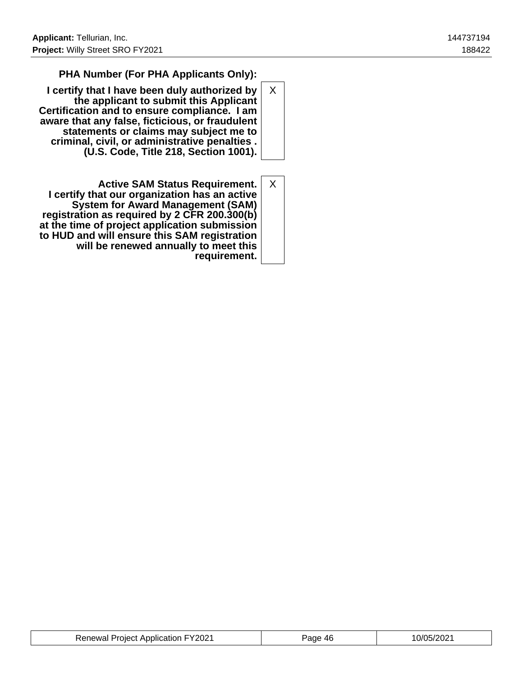### **PHA Number (For PHA Applicants Only):**

- **I certify that I have been duly authorized by the applicant to submit this Applicant Certification and to ensure compliance. I am aware that any false, ficticious, or fraudulent statements or claims may subject me to criminal, civil, or administrative penalties . (U.S. Code, Title 218, Section 1001).** X
- **Active SAM Status Requirement. I certify that our organization has an active System for Award Management (SAM) registration as required by 2 CFR 200.300(b) at the time of project application submission to HUD and will ensure this SAM registration will be renewed annually to meet this requirement.** X

| <b>Renewal Project Application FY2021</b> | Page 46 | 10/05/2021 |
|-------------------------------------------|---------|------------|
|-------------------------------------------|---------|------------|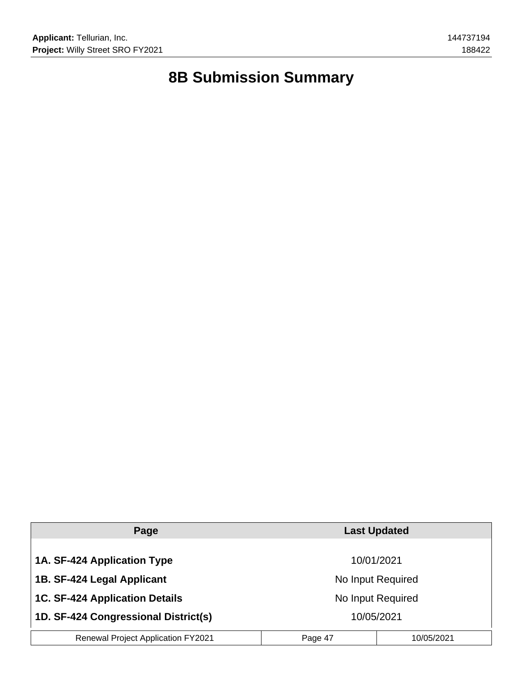# **8B Submission Summary**

| Page                                      | <b>Last Updated</b>   |  |
|-------------------------------------------|-----------------------|--|
| 1A. SF-424 Application Type               | 10/01/2021            |  |
| 1B. SF-424 Legal Applicant                | No Input Required     |  |
| <b>1C. SF-424 Application Details</b>     | No Input Required     |  |
| 1D. SF-424 Congressional District(s)      | 10/05/2021            |  |
| <b>Renewal Project Application FY2021</b> | 10/05/2021<br>Page 47 |  |